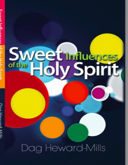# Sweet Induences

# Dag Heward-Mills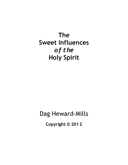# **The Sweet Influences** *of the* **Holy Spirit**

# Dag Heward-Mills

**Copyright © 201 2**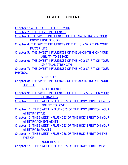### **TABLE OF CONTENTS**

Chapter 1: WHAT CAN [INFLUENCE](#page-5-0) YOU?

Chapter 2: THREE EVIL [INFLUENCES](#page-7-0)

Chapter 3: THE SWEET [INFLUENCES](#page-12-0) OF THE ANOINTING ON YOUR [KNOWLEDGE](#page-12-0) OF GOD

Chapter 4: THE SWEET [INFLUENCES](#page-16-0) OF THE HOLY SPIRIT ON YOUR [PRAYER](#page-16-0) LIFE

Chapter 5: THE SWEET [INFLUENCES](#page-24-0) OF THE ANOINTING ON YOUR [ABILITY](#page-24-0) TO BE HOLY

Chapter 6: THE SWEET [INFLUENCES](#page-27-0) OF THE HOLY SPIRIT ON YOUR SPIRITUAL [STRENGTH](#page-27-0)

Chapter 7: THE SWEET [INFLUENCES](#page-29-0) OF THE HOLY SPIRIT ON YOUR PHYSICAL

**[STRENGTH](#page-29-0)** 

Chapter 8: THE SWEET [INFLUENCES](#page-33-0) OF THE ANOINTING ON YOUR LEVEL OF

**[INTELLIGENCE](#page-33-0)** 

Chapter 9: THE SWEET [INFLUENCES](#page-40-0) OF THE HOLY SPIRIT ON YOUR **[CHARACTER](#page-40-0)** 

Chapter 10: THE SWEET [INFLUENCES](#page-42-0) OF THE HOLY SPIRIT ON YOUR [ABILITY](#page-42-0) TO LOVE

Chapter 11: THE SWEET [INFLUENCES](#page-45-0) OF THE HOLY SPIRITON YOUR MINISTRY STYLE

Chapter 12: THE SWEET INFLUENCES OF THE HOLY SPIRIT ON YOUR MINISTRY [ACHIEVEMENTS](#page-65-0)

Chapter 13: THE SWEET [INFLUENCES](#page-56-0) OF THE HOLY SPIRIT ON YOUR MINISTRY EMPHASES

Chapter 14: THE SWEET [INFLUENCES](#page-59-0) OF THE HOLY SPIRIT ON THE EYES OF

YOUR [HEART](#page-59-0)

Chapter 15: THE SWEET INFLUENCES OF THE HOLY SPIRIT ON YOUR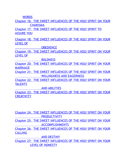**WORDS** 

Chapter 16: THE SWEET [INFLUENCES](#page-69-0) OF THE HOLY SPIRIT ON YOUR **[CHARISMA](#page-69-0)** 

Chapter 17: THE SWEET [INFLUENCES](#page-73-0) OF THE HOLY SPIRIT TO ASSURE YOU

Chapter 18: THE SWEET [INFLUENCES](#page-76-0) OF THE HOLY SPIRIT ON YOUR LEVEL OF

**[OBEDIENCE](#page-76-0)** 

Chapter 19: THE SWEET [INFLUENCES](#page-78-0) OF THE HOLY SPIRIT ON YOUR LEVEL OF

**[BOLDNESS](#page-78-0)** 

Chapter 20: THE SWEET [INFLUENCES](#page-80-0) OF THE HOLY SPIRIT ON YOUR MARRIAGE

Chapter 21: THE SWEET [INFLUENCES](#page-82-0) OF THE HOLY SPIRIT ON YOUR [WILLINGNESS](#page-82-0) AND EAGERNESS

Chapter 22: THE SWEET [INFLUENCES](#page-84-0) OF THE HOLY SPIRIT ON YOUR **TALENTS** 

AND [ABILITIES](#page-84-0)

Chapter 23: THE SWEET [INFLUENCES](#page-87-0) OF THE HOLY SPIRIT ON YOUR **CREATIVITY** 

Chapter 24: THE SWEET [INFLUENCES](#page-89-0) OF THE HOLY SPIRIT ON YOUR **[PRODUCTIVITY](#page-89-0)** Chapter 25: THE SWEET [INFLUENCES](#page-91-0) OF THE HOLY SPIRIT ON YOUR [ACCOMPLISHMENTS](#page-91-0) Chapter 26: THE SWEET [INFLUENCES](#page-98-0) OF THE HOLY SPIRIT ON YOUR **CALLING** AND [DESTINY](#page-98-0) Chapter 27: THE SWEET [INFLUENCES](#page-101-0) OF THE HOLY SPIRIT ON YOUR

LEVEL OF [HONESTY](#page-101-0)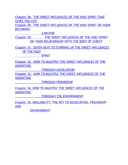Chapter 28: THE SWEET [INFLUENCES](#page-103-0) OF THE HOLY SPIRIT THAT GIVES YOU LIFE

Chapter 29: THE SWEET [INFLUENCES](#page-105-0) OF THE HOLY SPIRIT ON YOUR **BECOMING** 

A [PASTOR](#page-105-0)

Chapter 30: THE SWEET INFLUENCES OF THE HOLY SPIRIT ON YOUR [RELATIONSHIP](#page-106-0) WITH THE BODY OF CHRIST

Chapter 31: SEVEN KEYS TO STIRRING UP THE SWEET [INFLUENCES](#page-107-0) OF THE HOLY

[SPIRIT](#page-107-0)

Chapter 32: HOW TO MULTIPLY THE SWEET [INFLUENCES](#page-116-0) OF THE ANOINTING

THROUGH [ASSOCIATION](#page-116-0)

Chapter 33: HOW TO MULTIPLY THE SWEET [INFLUENCES](#page-119-0) OF THE ANOINTING

THROUGH [FRIENDSHIP](#page-119-0)

Chapter 34: HOW TO MULTIPLY THE SWEET [INFLUENCES](#page-122-0) OF THE ANOINTING

THROUGH THE [ENVIRONMENT](#page-122-0)

Chapter 35: AVAILABILITY: THE KEY TO [ASSOCIATION,](#page-125-0) FRIENDSHIP AND

[ENVIRONMENT](#page-125-0)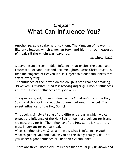## <span id="page-5-0"></span>*Chapter 1* **What Can Influence You?**

**Another parable spake he unto them; The kingdom of heaven is like unto leaven, which a woman took, and hid in three measures of meal, till the whole was leavened.**

**Matthew 13:33**

A leaven is an unseen, hidden influence that excites the dough and causes it to expand, rise and become lighter. Jesus Christ taught us that the kingdom of Heaven is also subject to hidden influences that affect everything.

The influence of the leaven on the dough is both real and amazing. *Yet leaven is invisible when it is working mightily.* Unseen influences are real. Unseen influences are good or evil.

The greatest good, unseen influence in a Christian's life is the Holy Spirit and this book is about that unseen but real influence! The sweet influences of the Holy Spirit!

This book is simply a listing of the different areas in which we can expect the influence of the Holy Spirit. We must look out for it and we must pray for it. The influence of the Holy Spirit is vital. It is most important for our survival.

What is influencing you? As a minister, what is influencing you? What is guiding you and making you do the things that you do? Are you under a good influence or under an evil influence?

There are three unseen evil influences that are largely unknown and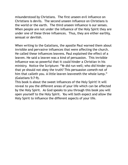misunderstood by Christians. The first unseen evil influence on Christians is devils. The second unseen influence on Christians is the world or the earth. The third unseen influence is our senses. When people are not under the influence of the Holy Spirit they are under one of these three influences. Thus, they are either earthly, sensual or devilish.

When writing to the Galatians, the apostle Paul warned them about invisible and pervasive influences that were affecting the church. He called these influences leavens. Paul explained the effect of a leaven. He said a leaven was a kind of persuasion. This invisible influence was so powerful that it could hinder a Christian in his ministry. Notice the Scripture: "Ye did run well; who did hinder you that ye should not obey the truth? This persuasion *cometh* not of him that calleth you. A little leaven leaveneth the whole lump." (Galatians 5:7-9).

This book is about the sweet influences of the Holy Spirit! It will reveal to you the different areas of your life which can be affected by the Holy Spirit. As God speaks to you through this book you will open yourself to the Holy Spirit. You will both expect and allow the Holy Spirit to influence the different aspects of your life.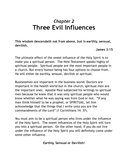# *Chapter 2* **Three Evil Influences**

<span id="page-7-0"></span>**This wisdom descendeth not from above, but** *is* **earthly, sensual, devilish.**

**James 3:15**

The ultimate effect of the sweet influence of the Holy Spirit is to make you a spiritual person. The New Testament speaks highly of spiritual people. Spiritual people are the most important people in a church. But every human being has four options to choose from. He will either be earthly, sensual, devilish or spiritual.

Businessmen are important in the business world. Doctors are important in the health world but in the church, spiritual men are the important ones. Apostle Paul subjected his writings to spiritual men because he knew that it was only spiritual people who would know whether what he was saying was from God or not. "If any man think himself to be a prophet, or SPIRITUAL, let him acknowledge that the things that I write unto you are the commandments of the Lord" (1 Corinthians 14: 37).

You must aim to be a spiritual person who lives under the influence of the Holy Spirit. The sweet influences of the Holy Spirit will turn you into a spiritual person. On the other hand, if you do not live under the influence of the Holy Spirit you will definitely come under some other influence.

### **Earthly, Sensual or Devilish!**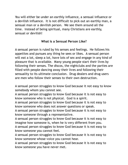You will either be under an earthly influence, a sensual influence or a devilish influence. It is not difficult to pick out an earthly man, a sensual man or a devilish person. We see them around all the time. Instead of being spiritual, many Christians are earthly, sensual or devilish!

### **What is a Sensual Person Like?**

A sensual person is ruled by his senses and feelings. He follows his appetites and pursues any thing he sees or likes. A sensual person will eat a lot, sleep a lot, have lots of sex and engage in any kind of pleasure that is available. Many young people start their lives by following their senses. The discos, the nightclubs and the parties are filled with people dancing away their lives and following their sensuality to its ultimate conclusion. Drug dealers and drug users are men who follow their senses to their own destruction.

A sensual person struggles to know God because it not easy to know somebody whom you cannot see.

A sensual person struggles to know God because it is not easy to know someone who is not physical. God is a spirit.

A sensual person struggles to know God because it is not easy to know someone who does not answer questions or speak.

A sensual person struggles to know God because it is not easy to know someone through a representative.

A sensual person struggles to know God because it is not easy to imagine how someone is, when he is very different from you.

A sensual person struggles to know God because it is not easy to know someone you cannot feel.

A sensual person struggles to know God because it is not easy to know someone whose voice you cannot hear.

A sensual person struggles to know God because it is not easy to know someone you have never met.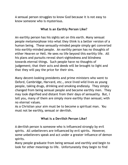A sensual person struggles to know God because it is not easy to know someone who is mysterious.

### **What Is an Earthly Person Like?**

An earthly person has his sights set on this earth. Many sensual people metamorphose into what they think is a better version of a human being. These sensually-minded people simply get converted into earthly-minded people. An earthly person has no thoughts of either Heaven or Hell. He sees no life beyond this earthly life. All his plans and pursuits reveal short-sightedness and blindness towards eternal things. Such people have no thoughts of judgement; that their acts and deeds will be brought to light and that they will pay the price for their sins.

Many decent-looking presidents and prime ministers who went to Oxford, Cambridge, Harvard, etc., once lived wild lives as young people, taking drugs, drinking and smoking endlessly. They simply changed from being sensual people and became earthly men. They may look dignified and distant from their days of sensuality. But, I tell you, many of them are simply more earthly than sensual; with no eternal values.

As a Christian your aim must be to become a spiritual man. You must not be earthly, sensual or devilish.

### **What Is a Devilish Person Like?**

A devilish person is someone who is influenced strongly by evil spirits. All unbelievers are influenced by evil spirits. However, some unbelievers speak and act under a greater influence of demon spirits.

Many people graduate from being sensual and earthly and begin to look for other meanings to life. Unfortunately they begin to find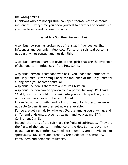the wrong spirits.

Christians who are not spiritual can open themselves to demonic influences. Every time you open yourself to earthly and sensual sins you can be exposed to demon spirits.

### **What Is a Spiritual Person Like?**

A spiritual person has broken out of sensual influences, earthly influences and demonic influences. For sure, a spiritual person is not earthly, not sensual and not devilish.

A spiritual person bears the fruits of the spirit that are the evidence of the long-term influences of the Holy Spirit.

A spiritual person is someone who has lived under the influence of the Holy Spirit. After being under the influence of the Holy Spirit for a long time you become spiritual.

A spiritual person is therefore a mature Christian.

A spiritual person can be spoken to in a particular way. Paul said, "And I, brethren, could not speak unto you as unto spiritual, but as unto carnal, *even* as unto babes in Christ.

I have fed you with milk, and not with meat: for hitherto ye were not able *to bear it*, neither yet now are ye able.

For ye are yet carnal: for whereas *there is* among you envying, and strife, and divisions, are ye not carnal, and walk as men?" (1 Corinthians 3:1-3).

Indeed, the fruits of the spirit are the fruits of spirituality. They are the fruits of the long-term influence of the Holy Spirit. Love, joy, peace, patience, gentleness, meekness, humility are all evidence of spirituality. Divisions and carnality are evidence of sensuality, earthliness and demonic influences.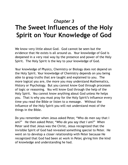# <span id="page-12-0"></span>*Chapter 3* **The Sweet Influences of the Holy Spirit on Your Knowledge of God**

We know very little about God. God cannot be seen but the evidence that He exists is all around us. Your knowledge of God is deepened in a very real way by the presence and power of the Holy Spirit. The Holy Spirit is the key to your knowledge of God.

Your knowledge of Physics, Chemistry or Biology does not depend on the Holy Spirit. Your knowledge of Chemistry depends on you being able to grasp truths that are taught and explained to you. The more logical you are, the more you may understand Mathematics, History or Psychology. But you cannot know God through processes of logic or reasoning. You will know God through the help of the Holy Spirit. You cannot know anything about God unless He helps you. That is why you must pray for the Holy Spirit's influence every time you read the Bible or listen to a message. Without the influence of the Holy Spirit you will not understand most of the things in the Bible.

Do you remember when Jesus asked Peter, "Who do men say that I am?" He then asked Peter, "*Who do you say that I am*?" When Peter said that Jesus was the Christ, Jesus recognized that the invisible Spirit of God had revealed something special to Peter. He went on to develop a closer relationship with Peter because He recognized that God had been at work in Peter, giving him the kind of knowledge and understanding he had.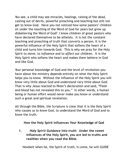You see, a child may see miracles, healings, raising of the dead, casting out of devils, powerful preaching and teaching but still not get to know God. Have you not noticed how some pastors' children sit under the teaching of the Word of God for years but grow up disbelieving the Word of God? I know children of great pastors who have declared themselves to be atheists. It is not the constant teaching and preaching of truth that converts a person. It is the powerful influence of the Holy Spirit that softens the heart of a child and turns him towards God. This is why we pray for the Holy Spirit to *move*, to *influence* and to *affect* our children. It is the Holy Spirit who softens the heart and makes them believe in God and like God.

Your personal knowledge of God and the level of revelation you have about the ministry depends entirely on what the Holy Spirit helps you to know. Without the influence of the Holy Spirit you will know very little about God and understand very little about God. That is why Jesus reacted to Peter's declaration and said, "Flesh and blood has not revealed this to you." In other words, a human being or human effort would never make you know or understand such a great and spiritual revelation.

All through the Bible, the Scripture is clear that it is the Holy Spirit who causes us to know God, to understand the Word of God and to know the truth.

**How the Holy Spirit Influences Your Knowledge of God**

**1.** *Holy Spirit Guidance into truth:* **Under the sweet influences of the Holy Spirit, you are led to truths and realities when you read the Bible.**

Howbeit when he, the Spirit of truth, is come, he will GUIDE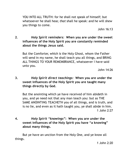YOU INTO ALL TRUTH: for he shall not speak of himself; but whatsoever he shall hear, *that* shall he speak: and he will shew you things to come.

John 16:13

**2**. *Holy Spirit reminders:* **When you are under the sweet influences of the Holy Spirit you are constantly reminded about the things Jesus said.**

But the Comforter, *which is* the Holy Ghost, whom the Father will send in my name, he shall teach you all things, and BRING ALL THINGS TO YOUR REMEMBRANCE, whatsoever I have said unto you.

John 14:26

**3.** *Holy Spirit direct teachings:* **When you are under the sweet influences of the Holy Spirit you are taught many things directly by God.**

But the anointing which ye have received of him abideth in you, and ye need not that any man teach you: but as THE SAME ANOINTING TEACHETH you of all things, and is truth, and is no lie, and even as it hath taught you, ye shall abide in him. 1 John 2:27

**4.** *Holy Spirit "knowings"***: When you are under the sweet influences of the Holy Spirit you have "a knowing" about many things.**

But ye have an unction from the Holy One, and ye know all things.

1 John 2:20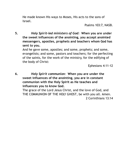He made known His ways to Moses, His acts to the sons of Israel.

Psalms 103:7, NASB.

**5.** *Holy Spirit-led ministers of God:* **When you are under the sweet influences of the anointing, you accept anointed messengers, apostles, prophets and teachers whom God has sent to you.**

And he gave some, apostles; and some, prophets; and some, evangelists; and some, pastors and teachers; for the perfecting of the saints, for the work of the ministry, for the edifying of the body of Christ:

Ephesians 4:11-12

**6.** *Holy Spirit communion:* **When you are under the sweet influences of the anointing, you are in constant communion with the Holy Spirit as He teaches and influences you to know God.**

The grace of the Lord Jesus Christ, and the love of God, and THE COMMUNION OF THE HOLY GHOST, be with you all. Amen. 2 Corinthians 13:14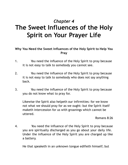# <span id="page-16-0"></span>*Chapter 4* **The Sweet Influences of the Holy Spirit on Your Prayer Life**

### **Why You Need the Sweet Influences of the Holy Spirit to Help You Pray**

- 1. You need the influence of the Holy Spirit to pray because it is not easy to talk to somebody you cannot see.
- 2. You need the influence of the Holy Spirit to pray because it is not easy to talk to somebody who does not say anything back.
- 3. You need the influence of the Holy Spirit to pray because you do not know what to pray for.

Likewise the Spirit also helpeth our infirmities: for we know not what we should pray for as we ought: but the Spirit itself maketh intercession for us with groanings which cannot be uttered.

Romans 8:26

4. You need the influence of the Holy Spirit to pray because you are spiritually discharged as you go about your daily life. Under the influence of the Holy Spirit you are charged up like a battery.

He that speaketh in an unknown tongue edifieth himself; but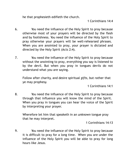he that prophesieth edifieth the church.

1 Corinthians 14:4

- 6. You need the influence of the Holy Spirit to pray because otherwise most of your prayers will be directed by the flesh and by foolishness. You need the influence of the Holy Spirit to pray otherwise your prayers will be well-rehearsed phrases. When you are anointed to pray, your prayer is dictated and directed by the Holy Spirit (Acts 2:4).
- 7. You need the influence of the Holy Spirit to pray because without the anointing to pray, everything you say is listened to by the devil. But when you pray in tongues devils do not understand what you are saying.

Follow after charity, and desire spiritual *gifts*, but rather that ye may prophesy.

1 Corinthians 14:1

8. You need the influence of the Holy Spirit to pray because through that influence you will know the mind of the Spirit. When you pray in tongues you can hear the voice of the Spirit by interpreting your prayer.

Wherefore let him that speaketh in an *unknown* tongue pray that he may interpret.

1 Corinthians 14:13

9. You need the influence of the Holy Spirit to pray because it is difficult to pray for a long time. When you are under the influence of the Holy Spirit you will be able to pray for long hours like Jesus.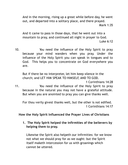And in the morning, rising up a great while before day, he went out, and departed into a solitary place, and there prayed. Mark 1:35

And it came to pass in those days, that he went out into a mountain to pray, and continued all night in prayer to God. Luke 6:12

10. You need the influence of the Holy Spirit to pray because your mind wanders when you pray. Under the influence of the Holy Spirit you can speak in tongues and to God. This helps you to concentrate on God everywhere you are.

But if there be no interpreter, let him keep silence in the church; and LET HIM SPEAK TO HIMSELF, AND TO GOD.

1 Corinthians 14:28 11. You need the influence of the Holy Spirit to pray because in the natural you may not have a grateful attitude. But when you are anointed to pray you can give thanks well.

For thou verily givest thanks well, but the other is not edified. 1 Corinthians 14:17

### **How the Holy Spirit Influenced the Prayer Lives of Christians**

**1. The Holy Spirit helped the infirmities of the believers by helping them to pray.**

Likewise the Spirit also helpeth our infirmities: for we know not what we should pray for as we ought: but the Spirit itself maketh intercession for us with groanings which cannot be uttered.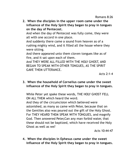**2. When the disciples in the upper room came under the influence of the Holy Spirit they began to pray in tongues on the day of Pentecost.**

And when the day of Pentecost was fully come, they were all with one accord in one place.

And suddenly there came a sound from heaven as of a rushing mighty wind, and it filled all the house where they were sitting.

And there appeared unto them cloven tongues like as of fire, and it sat upon each of them.

And THEY WERE ALL FILLED WITH THE HOLY GHOST, AND BEGAN TO SPEAK WITH OTHER TONGUES, AS THE SPIRIT GAVE THEM UTTERANCE.

Acts 2:1-4

### **3. When the household of Cornelius came under the sweet influence of the Holy Spirit they began to pray in tongues.**

While Peter yet spake these words, THE HOLY GHOST FELL ON ALL THEM which heard the word.

And they of the circumcision which believed were astonished, as many as came with Peter, because that on the Gentiles also was poured out the gift of the Holy Ghost. For THEY HEARD THEM SPEAK WITH TONGUES, and magnify God. Then answered Peter,Can any man forbid water, that these should not be baptized, which have received the Holy Ghost as well as we?

Acts 10:44-47

**4. When the disciples in Ephesus came under the sweet influence of the Holy Spirit they began to pray in tongues.**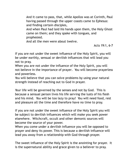And it came to pass, that, while Apollos was at Corinth, Paul having passed through the upper coasts came to Ephesus: and finding certain disciples,

And when Paul had laid *his* hands upon them, the Holy Ghost came on them; and they spake with tongues, and prophesied.

And all the men were about twelve.

Acts 19:1, 6-7

If you are not under the sweet influence of the Holy Spirit, you will be under earthly, sensual or devilish influences that will lead you not to pray.

When you are not under the influence of the Holy Spirit, you will not believe in the importance of prayer. You will become prayerless and powerless.

You will believe that you can solve problems by using your natural strength instead of reaching out to God in prayer.

Your life will be governed by the senses and not by God. This is because a sensual person lives his life serving the lusts of his flesh and his mind. You will be too lazy to pray! You will need food, rest and pleasure all the time and therefore have no time to pray.

If you are not under the sweet influence of the Holy Spirit you will be subject to devilish influences which will make you seek power elsewhere. Witchcraft, occult and other demonic sources will become the source of your power.

When you come under a devilish influence you will be opposed to prayer and deny its power. This is because a devilish influence will lead you away from a relationship with God through prayer.

The sweet influence of the Holy Spirit is the anointing for prayer. It is the supernatural ability and grace given to a believer to pray.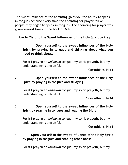The sweet influence of the anointing gives you the ability to speak in tongues because every time the anointing for prayer fell on people they began to speak in tongues. The anointing for prayer was given several times in the book of Acts.

**How to Yield to the Sweet Influences of the Holy Spirit to Pray**

1. **Open yourself to the sweet influences of the Holy Spirit by praying in tongues and thinking about what you need to think about.**

For if I pray in an *unknown* tongue, my spirit prayeth, but my understanding is unfruitful.

1 Corinthians 14:14

### 2. **Open yourself to the sweet influences of the Holy Spirit by praying in tongues and studying.**

For if I pray in an *unknown* tongue, my spirit prayeth, but my understanding is unfruitful.

1 Corinthians 14:14

### 3. **Open yourself to the sweet influences of the Holy Spirit by praying in tongues and reading the Bible.**

For if I pray in an *unknown* tongue, my spirit prayeth, but my understanding is unfruitful.

1 Corinthians 14:14

### 4. **Open yourself to the sweet influence of the Holy Spirit by praying in tongues and reading other books.**

For if I pray in an *unknown* tongue, my spirit prayeth, but my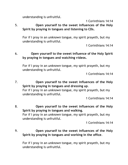understanding is unfruitful.

1 Corinthians 14:14

5. **Open yourself to the sweet influences of the Holy Spirit by praying in tongues and listening to CDs.**

For if I pray in an *unknown* tongue, my spirit prayeth, but my understanding is unfruitful.

1 Corinthians 14:14

### 6. **Open yourself to the sweet influence of the Holy Spirit by praying in tongues and watching videos.**

For if I pray in an *unknown* tongue, my spirit prayeth, but my understanding is unfruitful.

1 Corinthians 14:14

7. **Open yourself to the sweet influences of the Holy Spirit by praying in tongues and dressing up**. For if I pray in an *unknown* tongue, my spirit prayeth, but my understanding is unfruitful.

1 Corinthians 14:14

8. **Open yourself to the sweet influences of the Holy Spirit by praying in tongues and walking.** For if I pray in an *unknown* tongue, my spirit prayeth, but my understanding is unfruitful.

1 Corinthians 14:14

9. **Open yourself to the sweet influences of the Holy Spirit by praying in tongues and working in the office**.

For if I pray in an *unknown* tongue, my spirit prayeth, but my understanding is unfruitful.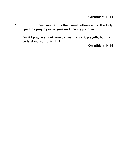1 Corinthians 14:14

### 10. **Open yourself to the sweet influences of the Holy Spirit by praying in tongues and driving your car**.

For if I pray in an *unknown* tongue, my spirit prayeth, but my understanding is unfruitful.

1 Corinthians 14:14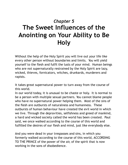# <span id="page-24-0"></span>*Chapter 5* **The Sweet Influences of the Anointing on Your Ability to Be Holy**

Without the help of the Holy Spirit you will live out your life like every other person without boundaries and limits. You will yield yourself to the flesh and fulfil the lusts of your mind. Human beings who are not supernaturally restrained by the Holy Spirit are lazy, wicked, thieves, fornicators, witches, drunkards, murderers and rapists.

It takes great supernatural power to turn away from the course of this world.

In our world today, it is unusual to be chaste or holy. It is normal to be a person with multiple sexual partners. You cannot blame people who have no supernatural power helping them. Most of the sins of the flesh are outbursts of naturalness and humanness. These outbursts of human behaviour have created the evil world in which we live. Through the depravities, selfishness and greed of mankind, a hard and wicked society called the world has been created. Paul said, we once walked according to the course of this world and fulfilled the desires of our flesh and mind, just like everybody else.

And you were dead in your trespasses and sins, in which you formerly walked according to the course of this world, ACCORDING TO THE PRINCE of the power of the air, of the spirit that is now working in the sons of disobedience.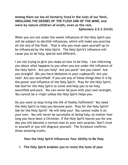**Among them we too all formerly lived in the lusts of our flesh, INDULGING THE DESIRES OF THE FLESH AND OF THE MIND, and were by nature children of wrath, even as the rest.**

**Ephesians 2:2-3 (**NASB)

When you are not under the sweet influences of the Holy Spirit you will be subject to devilish influences, which will make you practise all the sins of the flesh. That is why you must open yourself up to be influenced by the Holy Spirit. The Holy Spirit's influence will cause you to be holy, special and different.

I am not trying to give you steps on how to be holy. I am informing you about what happens to you when you are under the influence of the Holy Spirit. Are you holy? Are you pure? Are you clean? Are you straight? (Do you have skeletons in your cupboard?) Are you real? Are you sanctified? If you are any of these things then it is by the power and influence of the Holy Spirit. Pray for the Holy Spirit. Ask God for the Holy Spirit to come and help you to be holy, sanctified and pure. You can never be pure with your own strength. You cannot be a virgin unless the Holy Spirit helps you.

Do you want to stop living the life of fleshly fulfilment? You need the Holy Spirit to help you become pure. Pray for the Holy Spirit! Ask for the Holy Spirit! He will help you! You cannot make it on your own. You will never be successful at being holy, no matter how long you have been a Christian. If the Holy Spirit leaves you for one day you will become a normal man to your own surprise. Don't trust in yourself or you will disgrace yourself. The Scripture confirms these amazing truths.

**How the Holy Spirit Influences Your Ability to Be Holy**

1. **The Holy Spirit enables you to resist the lusts of your**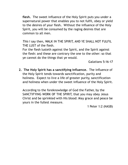**flesh.** The sweet influence of the Holy Spirit puts you under a supernatural power that enables you to not fulfil, obey or yield to the desires of your flesh**.** Without the influence of the Holy Spirit, you will be consumed by the raging desires that are common to all men.

*This* I say then, WALK IN THE SPIRIT, AND YE SHALL NOT FULFIL THE LUST of the flesh.

For the flesh lusteth against the Spirit, and the Spirit against the flesh: and these are contrary the one to the other: so that ye cannot do the things that ye would.

Galatians 5:16-17

**2. The Holy Spirit has a sanctifying influence.** The influence of the Holy Spirit tends towards sanctification, purity and holiness. Expect to live a life of greater purity, sanctification and holiness when under the sweet influence of the Holy Spirit.

According to the foreknowledge of God the Father, by the SANCTIFYING WORK OF THE SPIRIT, that you may obey Jesus Christ and be sprinkled with His blood: May grace and peace be yours in the fullest measure.

1 Peter 1:2 (NASB)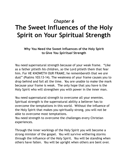# <span id="page-27-0"></span>*Chapter 6* **The Sweet Influences of the Holy Spirit on Your Spiritual Strength**

**Why You Need the Sweet Influences of the Holy Spirit to Give You** *Spiritual* **Strength**

You need supernatural strength because of your weak frame. "Like as a father pitieth *his* children, *so* the Lord pitieth them that fear him. For HE KNOWETH OUR FRAME; he remembereth that we *are* dust" (Psalms 103:13-14). The weakness of your frame causes you to drop behind and fail all the time. You are unable to make the mark because your frame is weak. The only hope that you have is the Holy Spirit who will strengthen you with power in the inner man.

You need supernatural strength to overcome all your enemies. Spiritual strength is the supernatural ability a believer has to overcome the temptations in this world. Without the influence of the Holy Spirit that makes you spiritually strong, you will not be able to overcome most temptations.

You need strength to overcome the challenges every Christian experiences.

Through the inner workings of the Holy Spirit you will become a strong minister of the gospel. You will survive withering storms through the influence of the Holy Spirit. You will be standing when others have fallen. You will be upright when others are bent over.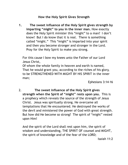### **How the Holy Spirit Gives Strength**

**1. The sweet influence of the Holy Spirit gives strength by imparting "might" to you in the inner man.** How exactly does the Holy Spirit minister this "might" to a man? I don't know! But I do know that it is real. There is something called "might." This "might" is imparted into your spirit and then you become stronger and stronger in the Lord. Pray for the Holy Spirit to make you strong.

For this cause I bow my knees unto the Father of our Lord Jesus Christ, Of whom the whole family in heaven and earth is named, That he would grant you, according to the riches of his glory, to be STRENGTHENED WITH MIGHT BY HIS SPIRIT in the inner man;

Ephesians 3:14-16

2. **The sweet influence of the Holy Spirit gives strength when the Spirit of "might" rests upon you.** This is a prophecy which reveals the source of the strength of Jesus Christ. Jesus was spiritually strong. He overcame all temptations that He encountered. He destroyed the works of the devil and ministered the power of God with great strength. But how did He become so strong? The spirit of "might" rested upon Him!

And the spirit of the Lord shall rest upon him, the spirit of wisdom and understanding, THE SPIRIT OF counsel and MIGHT, the spirit of knowledge and of the fear of the LORD;

Isaiah 11:2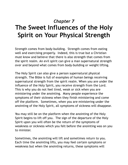# <span id="page-29-0"></span>*Chapter 7* **The Sweet Influences of the Holy Spirit on Your Physical Strength**

Strength comes from body-building. Strength comes from eating well and exercising properly. Indeed, this is true but a Christian must know and believe that there is also strength that comes from the spirit realm. An evil spirit can give a man supernatural strength over and beyond what comes from body-building or weight lifting.

The Holy Spirit can also give a person supernatural physical strength. The Bible is full of examples of human beings receiving supernatural strength from the spirit realm. When you are under the influence of the Holy Spirit, you receive strength from the Lord. This is why you do not feel tired, weak or sick when you are ministering under the anointing. Many people experience the symptoms of their sickness when they finish ministering and come off the platform. Sometimes, when you are ministering under the anointing of the Holy Spirit, all symptoms of sickness will disappear.

You may still be on the platform when the anointing of the Holy Spirit begins to lift off you. The sign of the departure of the Holy Spirit upon you will often be the return of the symptoms of weakness or sickness which you felt before the anointing was on you to minister.

Sometimes, the anointing will lift and sometimes return to you. Each time the anointing lifts, you may feel certain symptoms or weakness but when the anointing returns, these symptoms will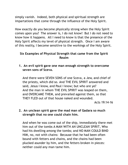simply vanish. Indeed, both physical and spiritual strength are impartations that come through the influence of the Holy Spirit.

How exactly do you become physically strong when the Holy Spirit comes upon you? The answer is, I do not know! But I do not need to know how it happens. All I need to know is that the presence of the Holy Spirit affects my level of physical strength. Once I am aware of this reality, I become sensitive to the workings of the Holy Spirit.

### **Six Examples of Physical Strength that came from the Spirit Realm**

**1. An evil spirit gave one man enough strength to overcome seven sons of Sceva.**

And there were SEVEN SONS of one Sceva, a Jew, and chief of the priests, which did so. And THE EVIL SPIRIT answered and said, Jesus I know, and Paul I know; but who are ye? And the man in whom THE EVIL SPIRIT was leaped on them, and OVERCAME THEM, and prevailed against them, so that THEY FLED out of that house naked and wounded.

Acts 19:14-16

### **2. An unclean spirit gave the mad man of Gadara so much strength that no one could chain him.**

And when he was come out of the ship, immediately there met him out of the tombs A MAN WITH AN UNCLEAN SPIRIT, Who had his dwelling among the tombs; and NO MAN COULD BIND HIM, no, not with chains: Because that he had been often bound with fetters and chains, and the chains had been plucked asunder by him, and the fetters broken in pieces: neither could any man tame him.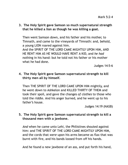### **3. The Holy Spirit gave Samson so much supernatural strength that he killed a lion as though he was killing a goat.**

Then went Samson down, and his father and his mother, to Timnath, and came to the vineyards of Timnath: and, behold, a young LION roared against him. And the SPIRIT OF THE LORD CAME MIGHTILY UPON HIM, AND HE RENT HIM AS HE WOULD HAVE RENT A KID, and *he had* nothing in his hand: but he told not his father or his mother what he had done.

Judges 14:5-6

### **4. The Holy Spirit gave Samson supernatural strength to kill thirty men all by himself.**

Then THE SPIRIT OF THE LORD CAME UPON HIM mightily, and he went down to Ashkelon and KILLED THIRTY OF THEM and took their spoil, and gave the changes *of clothes* to those who told the riddle. And his anger burned, and he went up to his father's house.

Judges 14:19 (NASB)

### **5. The Holy Spirit gave Samson supernatural strength to kill a thousand men with a jawbone.**

*And* when he came unto Lehi, the Philistines shouted against him: and THE SPIRIT OF THE LORD CAME MIGHTILY UPON HIM, and the cords that *were* upon his arms became as flax that was burnt with fire, and his bands loosed from off his hands.

And he found a new jawbone of an ass, and put forth his hand,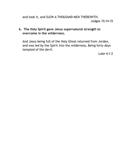and took it, and SLEW A THOUSAND MEN THEREWITH. Judges 15:14-15

### **6. The Holy Spirit gave Jesus supernatural strength to overcome in the wilderness.**

And Jesus being full of the Holy Ghost returned from Jordan, and was led by the Spirit into the wilderness, Being forty days tempted of the devil.

Luke 4:1-2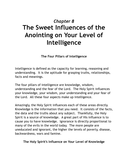# <span id="page-33-0"></span>*Chapter 8* **The Sweet Influences of the Anointing on Your Level of Intelligence**

**The Four Pillars of Intelligence**

Intelligence is defined as the capacity for learning, reasoning and understanding. It is the aptitude for grasping truths, relationships, facts and meanings.

The four pillars of intelligence are knowledge, wisdom, understanding and the fear of the Lord. The Holy Spirit influences your knowledge, your wisdom, your understanding and your fear of the Lord. All these four aspects make up intelligence.

Amazingly, the Holy Spirit influences each of these areas directly. Knowledge is the information that you need. It consists of the facts, the data and the truths about any subject. Thankfully, the Holy Spirit is a source of knowledge. A great part of His influence is to cause you to have knowledge. Ignorance is directly proportional to many of the evils in the world today. The more people are uneducated and ignorant, the higher the levels of poverty, disease, backwardness, wars and famine.

**The Holy Spirit's Influence on Your Level of Knowledge**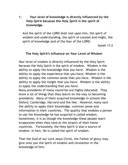### **1. Your level of knowledge is directly influenced by the Holy Spirit because the Holy Spirit is the spirit of knowledge.**

And the spirit of the LORD shall rest upon him, the spirit of wisdom and understanding, the spirit of counsel and might, the spirit of knowledge and of the fear of the LORD;

Isaiah 11:2

### **The Holy Spirit's Influence on Your Level of Wisdom**

Your level of wisdom is directly influenced by the Holy Spirit because the Holy Spirit is the spirit of wisdom. Wisdom is the ability to apply the knowledge that you have. Wisdom is the ability to apply the experience that you have. Wisdom is the ability to apply the common sense that you have. Wisdom is the ability to apply the insight that you have. Wisdom is the ability to apply the understanding that you have.

Many presidents of many countries are highly educated. They know a lot of things that they learnt on the way to becoming presidents. Many of them acquired knowledge in schools like Oxford, Cambridge, Harvard and the like. However, many lack the ability to apply their knowledge, common sense and information in their countries. The quality that enables a person to use the knowledge he has acquired is called wisdom. Sometimes, it is as though the knowledge these people learn evaporates when they land at the airport of their home countries. Fortunately, the Holy Spirit is also a source of wisdom. In fact, He is called the spirit of wisdom.

That the God of our Lord Jesus Christ, the Father of glory, may give unto you the spirit of wisdom and revelation in the knowledge of him: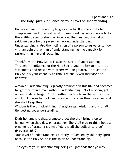### Ephesians 1:17 **The Holy Spirit's Influence on Your Level of Understanding**

Understanding is the ability to grasp truths. It is the ability to comprehend and interpret what is being said. When someone lacks the ability to comprehend or interpret the meaning of what you said, we describe the person as lacking understanding. Understanding is also the inclination of a person to agree or to flow with an opinion. A man of understanding has the capacity for rational thinking and reasoning.

Thankfully, the Holy Spirit is also the spirit of understanding. Through the influence of the Holy Spirit, your ability to interpret statements and reason with others will be greater. Through the Holy Spirit, your capacity to think rationally will increase and improve.

A man of understanding is greatly promoted in this life and becomes far greater than a man without understanding. "Get wisdom, get understanding: forget *it* not; neither decline from the words of my mouth. Forsake her not, and she shall preserve thee: love her, and she shall keep thee.

Wisdom *is* the principal thing; *therefore* get wisdom: and with all thy getting get understanding.

Exalt her, and she shall promote thee: she shall bring thee to honour, when thou dost embrace her. She shall give to thine head an ornament of grace: a crown of glory shall she deliver to thee" (Proverbs 4:5-9).

Your level of understanding is directly influenced by the Holy Spirit because the Holy Spirit is the spirit of understanding.

The eyes of your understanding being enlightened; that ye may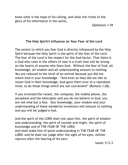know what is the hope of his calling, and what the riches of the glory of his inheritance in the saints,

Ephesians 1:18

#### **The Holy Spirit's Influence on Your Fear of the Lord**

The extent to which you fear God is directly influenced by the Holy Spirit because the Holy Spirit is the spirit of the fear of the Lord. The fear of the Lord is the respect for the God-factor**.** That there is a God who rules in the affairs of men is a truth that will be strong on the hearts of anyone who fears God. Without the fear of God, all knowledge, all wisdom and all understanding amount to nothing. You are reduced to the level of an animal because you did not retain God in your knowledge. "And even as they did not like to retain God in *their* knowledge, God gave them over to a reprobate mind, to do those things which are not convenient" (Romans 1:28).

If you invented the rocket, the computer, the mobile phone, the aeroplane and the helicopter and you do not believe in God, you are not wise but a fool. Your knowledge, your wisdom and your understanding of these wonderful inventions will amount to nothing and you will be judged a fool.

And the spirit of the LORD shall rest upon him, the spirit of wisdom and understanding, the spirit of counsel and might, the spirit of knowledge and of THE FEAR OF THE LORD; And shall make him of quick understanding in THE FEAR OF THE LORD: and he shall not judge after the sight of his eyes, neither reprove after the hearing of his ears:

Isaiah 11:2-3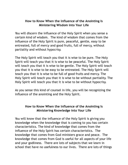#### **How to Know When the Influence of the Anointing Is Ministering Wisdom into Your Life**

You will discern the influence of the Holy Spirit when you sense a certain kind of wisdom. The kind of wisdom that comes from the influence of the Holy Spirit is pure, peaceful, gentle, easy to be entreated, full of mercy and good fruits, full of mercy, without partiality and without hypocrisy.

The Holy Spirit will teach you that it is wise to be pure. The Holy Spirit will teach you that it is wise to be peaceful. The Holy Spirit will teach you that it is wise to be gentle. The Holy Spirit will teach you that it is wise to be easy to be entreated. The Holy Spirit will teach you that it is wise to be full of good fruits and mercy. The Holy Spirit will teach you that it is wise to be without partiality. The Holy Spirit will teach you that it is wise to be without hypocrisy.

As you sense this kind of counsel in life, you will be recognizing the influence of the anointing and the Holy Spirit.

#### **How to Know When the Influence of the Anointing Is Ministering Knowledge into Your Life**

You will know that the influence of the Holy Spirit is giving you knowledge when the knowledge that is coming to you has certain characteristics. The kind of knowledge that comes from the influence of the Holy Spirit has certain characteristics. The knowledge that comes from God ministers grace and peace. The knowledge that comes from God is useful for all aspects of your life and your godliness. There are lots of subjects that we learn in school that have no usefulness to our lives. There are lots of things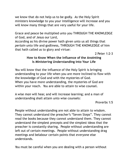we know that do not help us to be godly. As the Holy Spirit ministers knowledge to you your intelligence will increase and you will know many things that are very useful for your life.

Grace and peace be multiplied unto you THROUGH THE KNOWLEDGE of God, and of Jesus our Lord,

According as his divine power hath given unto us all things that *pertain* unto life and godliness, THROUGH THE KNOWLEDGE of him that hath called us to glory and virtue:

2 Peter 1:2-3

#### **How to Know When the Influence of the Anointing Is Ministering Understanding into Your Life**

You will know that the influence of the Holy Spirit is bringing understanding to your life when you are more inclined to flow with the knowledge of God and with the mysteries of God. When you have more understanding, the mysteries of God are within your reach. You are able to attain to wise counsel.

A wise *man* will hear, and will increase learning; and a man of understanding shall attain unto wise counsels:

Proverbs 1:5

People without understanding are not able to attain to wisdom. They cannot understand the preacher's "Seven Steps". They cannot read the books because they cannot understand them. They cannot understand the simplest precepts and the simplest ideas that the preacher is constantly sharing. People without understanding are left out of certain meetings. People without understanding drag meetings and belabour certain points that everyone else understands.

You must be careful when you are dealing with a person without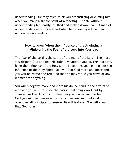understanding. He may even think you are insulting or cursing him when you make a simple point at a meeting. People without understanding feel easily insulted and looked down upon. A man of understanding must understand when he is dealing with a man without understanding.

#### **How to Know When the Influence of the Anointing Is Ministering the Fear of the Lord into Your Life**

The fear of the Lord is the spirit of the fear of the Lord. The more you respect God and fear His role in whatever you do, the more you have the influence of the Holy Spirit in you. As you come under the influence of the Holy Spirit, you will fear God more and more and you will be afraid and terrified that he may strike you down at any moment for anything.

You will recognize more and more his divine hand in the affairs of men and you will set aside the notion that things work out by chance. As the Holy Spirit influences you concerning the fear of God you will become sure that principles are real, but God overrules all principles to ensure His will is done. You will know that God rules.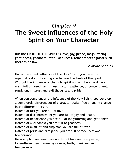## *Chapter 9* **The Sweet Influences of the Holy Spirit on Your Character**

**But the FRUIT OF THE SPIRIT is love, joy, peace, longsuffering, gentleness, goodness, faith, Meekness, temperance: against such there is no law.**

**Galatians 5:22-23**

Under the sweet influence of the Holy Spirit, you have the supernatural ability and grace to bear the fruits of the Spirit. Without the influence of the Holy Spirit you will be an ordinary man; full of greed, selfishness, lust, impatience, discontentment, suspicion, mistrust and evil thoughts and pride.

When you come under the influence of the Holy Spirit, you develop a completely different set of character traits. You virtually change into a different person.

Instead of lust you are full of love.

Instead of discontentment you are full of joy and peace.

Instead of impatience you are full of longsuffering and gentleness. Instead of wickedness you are full of goodness.

Instead of mistrust and suspicion you are full of faith.

Instead of pride and arrogance you are full of meekness and temperance.

Naturally human beings are not full of love and joy, peace, longsuffering, gentleness, goodness, faith, meekness and temperance.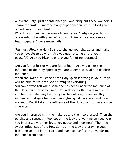Allow the Holy Spirit to influence you and bring out these wonderful character traits. Embrace every experience in life as a God-given opportunity to bear fruit.

Why do you think no one wants to marry you? Why do you think no one wants to be with you? Why do you think you cannot keep a team together? Love never fails.

You must allow the Holy Spirit to change your character and make you enjoyable to be with. Are you quarrelsome or are you peaceful? Are you irksome or are you full of temperance?

Are you full of lust or you are full of love? Are you under the influence of the Holy Spirit or you are under a sensual and devilish influence?

When the sweet influence of the Holy Spirit is strong in your life you will be able to wait for God's timing in everything.

You can always tell when someone has been under the influence of the Holy Spirit for some time. You will see by the fruits in his life and her life. She may be pretty on the outside, having earthly influences that give her good hairstyles, good necklaces and nice make-up. But it takes the influence of the Holy Spirit to have a nice character.

Are you impressed with the make-up and the nice dresses? Then the earthly and sensual influences on the lady are working on you. Are you impressed with her love, joy, peace and meekness? Then the sweet influences of the Holy Spirit on the lady are drawing you. It is time to pray in the spirit and open yourself to that wonderful influence from above.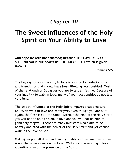### *Chapter 10*

# **The Sweet Influences of the Holy Spirit on Your Ability to Love**

**And hope maketh not ashamed; because THE LOVE OF GOD IS SHED abroad in our hearts BY THE HOLY GHOST which is given unto us.**

**Romans 5:5**

The key sign of your inability to love is your broken relationships and friendships that should have been life-long relationships! Most of the relationships God gives you are to last a lifetime. Because of your inability to walk in love, many of your relationships do not last very long.

**The sweet influence of the Holy Spirit imparts a supernatural ability to walk in love and to forgive.** Even though you are born again, the flesh is still the same. Without the help of the Holy Spirit you will not be able to walk in love and you will not be able to genuinely forgive. There are many ministers who claim to be heavily anointed with the power of the Holy Spirit and yet cannot walk in the love of God.

Making people fall down and having mighty spiritual manifestations is not the same as walking in love. Walking and operating in love is a cardinal sign of the presence of the Spirit.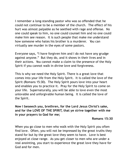I remember a long-standing pastor who was so offended that he could not continue to be a member of the church. The effect of his hurt was almost palpable as he seethed with rage and offense. No one could speak to him, no one could counsel him and no one could make him see reason. It is such people that make me understand how someone who hates his brother is a murderer. You can virtually see murder in the eyes of some pastors.

Everyone says, "I have forgiven him and I do not have any grudge against anyone." But they do, and it shows in their lives and in their actions. You cannot make a claim to the presence of the Holy Spirit if you cannot walk in divine love and forgiveness.

This is why we need the Holy Spirit. There is a great love that comes into your life from the Holy Spirit. It is called the love of the Spirit (Romans 15:30). The Holy Spirit pours love into your heart and enables you to practice it. Pray for the Holy Spirit to come on your life. Supernaturally, you will be able to love even the most unlovable and unforgivable human being. It is called the love of the Spirit.

**Now I beseech you, brethren, for the Lord Jesus Christ's sake, and for the LOVE OF THE SPIRIT, that ye strive together with me in your prayers to God for me;**

#### **Romans 15:30**

When you go close to men who walk with the Holy Spirit you often find love. Often, you will not be impressed by the great truths they stand for but by the great love they seem to have. Love is best enjoyed at close range. As you get closer to men who are under a real anointing, you start to experience the great love they have for God and for men.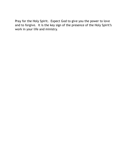Pray for the Holy Spirit. Expect God to give you the power to love and to forgive. It is the key sign of the presence of the Holy Spirit's work in your life and ministry.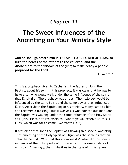### *Chapter 11*

### **The Sweet Influences of the Anointing on Your Ministry Style**

**And he shall go before him in THE SPIRIT AND POWER OF ELIAS, to turn the hearts of the fathers to the children, and the disobedient to the wisdom of the just; to make ready a people prepared for the Lord.**

**Luke 1:17**

This is a prophecy given to Zechariah, the father of John the Baptist, about his son. In this prophecy, it was clear that he was to have a son who would walk under the same influence of the spirit that Elijah did. The prophecy was direct! The little boy would be influenced by the same Spirit and the same power that influenced Elijah. After John the Baptist began his ministry, many came to him and received a blessing. But it was Jesus who pointed out that John the Baptist was walking under the same influence of the Holy Spirit as Elijah. He said to His disciples, "And if ye will receive *it*, this is Elias, which was for to come" (Matthew 11:14).

It was clear that John the Baptist was flowing in a special anointing. That anointing of the Holy Spirit on Elijah was the same as that on John the Baptist. What did this anointing do? What did this special influence of the Holy Spirit do? It gave birth to a similar style of ministry! Amazingly, the similarities in the style of ministry are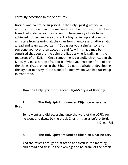carefully described in the Scriptures.

Notice, and do not be surprised, if the Holy Spirit gives you a ministry that is similar to someone else's. Do not listen to fruitless trees that criticise you for copying. These empty clouds have achieved nothing and are constantly frightening up and coming ministers from learning all they can from mentors and fathers. Go ahead and learn all you can! If God gives you a similar style to someone you love, then accept it and flow in it! You may be surprised that you are the John the Baptist who is walking in the footsteps of an Elijah! Once something is carefully chronicled in the Bible, you must not be afraid of it. What you must be afraid of are the things that are not in the Bible. Do not be afraid of developing the style of ministry of the wonderful men whom God has raised up in front of you.

#### **How the Holy Spirit Influenced Elijah's Style of Ministry**

#### 1. **The Holy Spirit influenced Elijah on where he lived**.

So he went and did according unto the word of the LORD: for he went and dwelt by the brook Cherith, that *is* before Jordan. 1 Kings 17:5

#### 2. **The Holy Spirit influenced Elijah on what he ate.**

And the ravens brought him bread and flesh in the morning, and bread and flesh in the evening; and he drank of the brook.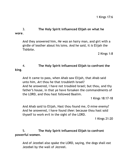#### 3. **The Holy Spirit influenced Elijah on what he wore**.

And they answered him, *He was* an hairy man, and girt with a girdle of leather about his loins. And he said, it *is* Elijah the Tishbite.

2 Kings 1:8

#### 4. **The Holy Spirit influenced Elijah to confront the king**.

And it came to pass, when Ahab saw Elijah, that Ahab said unto him, *Art* thou he that troubleth Israel? And he answered, I have not troubled Israel; but thou, and thy father's house, in that ye have forsaken the commandments of the LORD, and thou hast followed Baalim.

1 Kings 18:17-18

And Ahab said to Elijah, Hast thou found me, O mine enemy? And he answered, I have found *thee*: because thou hast sold thyself to work evil in the sight of the LORD.

1 Kings 21:20

5. **The Holy Spirit influenced Elijah to confront powerful women**.

And of Jezebel also spake the LORD, saying, the dogs shall eat Jezebel by the wall of Jezreel.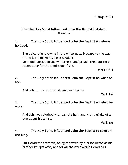#### **How the Holy Spirit Influenced John the Baptist's Style of Ministry**

#### 1. **The Holy Spirit influenced John the Baptist on where he lived.**

The voice of one crying in the wilderness, Prepare ye the way of the Lord, make his paths straight. John did baptize in the wilderness, and preach the baptism of repentance for the remission of sins.

Mark 1:3-4

#### 2. **The Holy Spirit influenced John the Baptist on what he ate.**

And John ... did eat locusts and wild honey

Mark 1:6

#### 3. **The Holy Spirit influenced John the Baptist on what he wore**.

And John was clothed with camel's hair, and with a girdle of a skin about his loins…

Mark 1:6

#### 4. **The Holy Spirit influenced John the Baptist to confront the king**.

But Herod the tetrarch, being reproved by him for Herodias his brother Philip's wife, and for all the evils which Herod had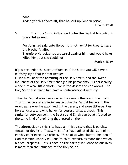done,

Added yet this above all, that he shut up John in prison.

Luke 3:19-20

#### 5. **The Holy Spirit influenced John the Baptist to confront powerful women**.

For John had said unto Herod, It is not lawful for thee to have thy brother's wife.

Therefore Herodias had a quarrel against him, and would have killed him; but she could not:

Mark 6:18-19

If you are under the sweet influence of the Spirit you will have a ministry style that is from Heaven.

Elijah was under the anointing of the Holy Spirit, and the sweet influences of the Holy Spirit changed his personality. His personality made him wear little shorts, live in the desert and eat worms. The Holy Spirit also made him have a confrontational ministry.

John the Baptist also came under the same influence of the Spirit. This influence and anointing made John the Baptist behave in the exact same way. He also lived in the desert, and wore little panties. He ate locusts and wild honey for dessert. What a shock! This similarity between John the Baptist and Elijah can be attributed to the same kind of anointing that rested on them.

The alternative to this is to have a ministry style that is earthly, sensual or devilish. Today, most of us have adopted the style of an earthly chief executive officer. Those of us who claim to be men of God resemble worldly millionaire chief executives more than we do biblical prophets. This is because the earthly influence on our lives is more than the influence of the Holy Spirit.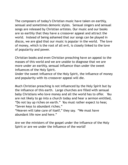The composers of today's Christian music have taken on earthly, sensual and sometimes demonic styles. Sensual singers and sensual songs are released by Christian artistes. Our music and our books are so earthly that they have a crossover appeal and attract the world. Instead of being ashamed that our songs can be played in discos, we are glad that our music is popular in the world. The love of money, which is the root of all evil, is closely linked to the love of popularity and power.

Christian books and even Christian preaching have an appeal to the masses of this world and we are unable to diagnose that we are more under an earthly, sensual influence than under the sweet influences of the Holy Spirit.

Under the sweet influence of the Holy Spirit, the influence of money and popularity with its crossover appeal will die.

Much Christian preaching is not influenced by the Holy Spirit but by the influence of this earth. Large churches are filled with sensual baby Christians who love money and all the world has to offer. You are not likely to go into a church today and hear a sermon entitled, "Do not lay up riches on earth." You must rather expect to hear, "Seven keys to abundant riches."

"Heaven will take care of itself, " they say. "We must have abundant life now and here."

Are we the ministers of the gospel under the influence of the Holy Spirit or are we under the influence of the world?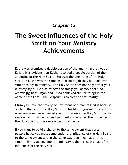### *Chapter 12*

# **The Sweet Influences of the Holy Spirit on Your Ministry Achievements**

Elisha was promised a double portion of the anointing that was on Elijah. It is evident that Elisha received a double portion of the anointing of the Holy Spirit. Because the anointing of the Holy Spirit on Elisha was the same as that on Elijah they both achieved similar things in ministry. The Holy Spirit does not only affect your ministry style. He also affects the things you achieve for God. Amazingly, both Elijah and Elisha achieved similar things in the name of the Lord. The Scripture is so clear on this reality.

I firmly believe that every achievement of a man of God is because of the influence of the Holy Spirit on his life. If you want to achieve what someone has achieved you must receive the Holy Spirit to the same extent that he has and you must come under the influence of the Holy Spirit to the same extent that he has.

If you want to build a church to the same extent that certain pastors have, you must come under the influence of the Holy Spirit to the same extent and in the same way that they have. It is simple! Every achievement in ministry is the direct product of the influences of the Holy Spirit.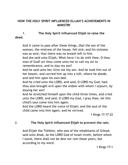#### **HOW THE HOLY SPIRIT INFLUENCED ELIJAH'S ACHIEVEMENTS IN MINISTRY**

#### 1. **The Holy Spirit influenced Elijah to raise the dead.**

And it came to pass after these things, *that* the son of the woman, the mistress of the house, fell sick; and his sickness was so sore, that there was no breath left in him. And she said unto Elijah, What have I to do with thee, O thou man of God? art thou come unto me to call my sin to remembrance, and to slay my son? And he said unto her, Give me thy son. And he took him out of her bosom, and carried him up into a loft, where he abode, and laid him upon his own bed.

And he cried unto the LORD, and said, O LORD my God, hast thou also brought evil upon the widow with whom I sojourn, by slaying her son?

And he stretched himself upon the child three times, and cried unto the LORD, and said, O LORD my God, I pray thee, let this child's soul come into him again.

And the LORD heard the voice of Elijah; and the soul of the child came into him again, and he revived.

1 Kings 17:17-22

#### 2. **The Holy Spirit influenced Elijah to prevent the rain.**

And Elijah the Tishbite, *who was* of the inhabitants of Gilead, said unto Ahab, *As* the LORD God of Israel liveth, before whom I stand, there shall not be dew nor rain these years, but according to my word.

1 Kings 17:1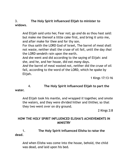3. **The Holy Spirit influenced Elijah to minister to widows**.

And Elijah said unto her, Fear not; go *and* do as thou hast said: but make me thereof a little cake first, and bring *it* unto me, and after make for thee and for thy son.

For thus saith the LORD God of Israel, The barrel of meal shall not waste, neither shall the cruse of oil fail, until the day *that* the LORD sendeth rain upon the earth.

And she went and did according to the saying of Elijah: and she, and he, and her house, did eat *many* days.

*And* the barrel of meal wasted not, neither did the cruse of oil fail, according to the word of the LORD, which he spake by Elijah.

1 Kings 17:13-16

### 4. **The Holy Spirit influenced Elijah to part the**

**water.**

And Elijah took his mantle, and wrapped *it* together, and smote the waters, and they were divided hither and thither, so that they two went over on dry ground.

2 Kings 2:8

#### **HOW THE HOLY SPIRIT INFLUENCED ELISHA'S ACHIEVEMENTS IN MINISTRY**

1. **The Holy Spirit influenced Elisha to raise the dead**.

And when Elisha was come into the house, behold, the child was dead, *and* laid upon his bed.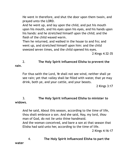He went in therefore, and shut the door upon them twain, and prayed unto the LORD.

And he went up, and lay upon the child, and put his mouth upon his mouth, and his eyes upon his eyes, and his hands upon his hands: and he stretched himself upon the child; and the flesh of the child waxed warm.

Then he returned, and walked in the house to and fro; and went up, and stretched himself upon him: and the child sneezed seven times, and the child opened his eyes.

2 Kings 4:32-35

#### 2. **The Holy Spirit influenced Elisha to prevent the rain**.

For thus saith the Lord, Ye shall not see wind, neither shall ye see rain; yet that valley shall be filled with water, that ye may drink, both ye, and your cattle, and your beasts.

2 Kings 3:17

#### 3. **The Holy Spirit influenced Elisha to minister to widows**.

And he said, About this season, according to the time of life, thou shalt embrace a son. And she said, Nay, my lord, *thou* man of God, do not lie unto thine handmaid. And the woman conceived, and bare a son at that season that Elisha had said unto her, according to the time of life. 2 Kings 4:16-17

4. **The Holy Spirit influenced Elisha to part the**

**water**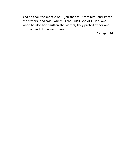And he took the mantle of Elijah that fell from him, and smote the waters, and said, Where *is* the LORD God of Elijah? and when he also had smitten the waters, they parted hither and thither: and Elisha went over.

2 Kings 2:14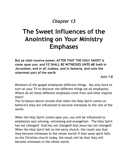### *Chapter 13*

# **The Sweet Influences of the Anointing on Your Ministry Emphases**

**But ye shall receive power, AFTER THAT THE HOLY GHOST is come upon you: and YE SHALL BE WITNESSES UNTO ME both in Jerusalem, and in all Judaea, and in Samaria, and unto the uttermost part of the earth**

**Acts 1:8**

Ministers of the gospel emphasize different things. You only have to turn on your TV to discover the different things we all emphasize. Where do all these different emphases come from and what inspires them?

The Scripture above reveals that when the Holy Spirit comes on believers they are influenced to become witnesses to the rest of the world.

When the Holy Spirit comes upon you, you will be influenced to emphasize soul winning, witnessing and evangelism. The Holy Spirit has not changed! God has not changed! And Jesus has not changed! When the Holy Spirit fell on the early church, the result was that they became witnesses to the whole world! If that same spirit falls on the Christian church today, the result will be that they will become witnesses to the whole world.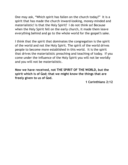One may ask, "Which spirit has fallen on the church today?" It is a spirit that has made the church inward-looking, money-minded and materialistic! Is that the Holy Spirit? I do not think so! Because when the Holy Spirit fell on the early church, it made them leave everything behind and go to the whole world for the gospel's sake.

I think that the spirit that dominates the congregation is the spirit of the world and not the Holy Spirit. The spirit of the world drives people to become more established in this world. It is the spirit that drives the materialistic preaching and teaching of today. If you come under the influence of the Holy Spirit you will not be worldly and you will not be materialistic.

**Now we have received, not THE SPIRIT OF THE WORLD, but the spirit which is of God; that we might know the things that are freely given to us of God.**

**1 Corinthians 2:12**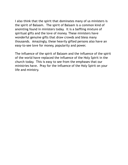I also think that the spirit that dominates many of us ministers is the spirit of Balaam. The spirit of Balaam is a common kind of anointing found in ministers today. It is a baffling mixture of spiritual gifts and the love of money. These ministers have wonderful genuine gifts that draw crowds and bless many thousands. Amazingly, these heavily gifted persons also have an easy-to-see love for money, popularity and power.

The influence of the spirit of Balaam and the influence of the spirit of the world have replaced the influence of the Holy Spirit in the church today. This is easy to see from the emphases that our ministries have. Pray for the influence of the Holy Spirit on your life and ministry.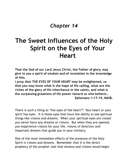### *Chapter 14*

# **The Sweet Influences of the Holy Spirit on the Eyes of Your Heart**

**That the God of our Lord Jesus Christ, the Father of glory, may give to you a spirit of wisdom and of revelation in the knowledge of Him.**

*I pray that* **THE EYES OF YOUR HEART may be enlightened, so that you may know what is the hope of His calling, what are the riches of the glory of His inheritance in the saints, and what is the surpassing greatness of His power toward us who believe… Ephesians 1:17-19, NASB.**

There is such a thing as "the eyes of the heart"! Your heart or your spirit has eyes. It is these eyes that have the ability to see spiritual things like visions and dreams. When your spiritual eyes are closed you never have any dreams or visions. But when they are opened, you experience visions for your life, visions of direction and important dreams that guide you in your ministry.

One of the most immediate effects of the presence of the Holy Spirit is visions and dreams. Remember that it is the direct prophecy of the prophet Joel that dreams and visions would begin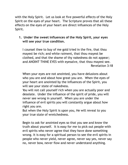with the Holy Spirit. Let us look at five powerful effects of the Holy Spirit on the eyes of your heart. The Scripture proves that all these effects on the eyes of your heart are direct influences of the Holy Spirit.

#### **1. Under the sweet influences of the Holy Spirit, your eyes will see your true condition.**

I counsel thee to buy of me gold tried in the fire, that thou mayest be rich; and white raiment, that thou mayest be clothed, and that the shame of thy nakedness do not appear; and ANOINT THINE EYES with eyesalve, that thou mayest see. Revelation 3:18

When your eyes are not anointed, you have delusions about who you are and about how great you are. When the eyes of your heart are anointed by the influences of the Spirit, you will see your state of nakedness.

You will not call yourself rich when you are actually poor and desolate. Under the influence of the spirit of pride, you will never see wrong in yourself. When you are under the influence of evil spirits you will constantly argue about how right you are.

But when the Holy Spirit is upon you, He will reveal to you your true state of wretchedness.

Begin to ask for anointed eyes so that you see and know the truth about yourself. It is easy for me to pick out people with evil spirits who never agree that they have done something wrong. It is easy for a spiritual person to see the evil spirits in people who never yield, never agree, never say yes, never say no, never bow, never flow and never understand anything.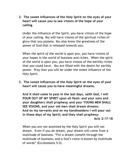**2. The sweet influences of the Holy Spirit on the eyes of your heart will cause you to see visions of the hope of your calling.**

Under the influence of the Spirit, you have visions of the hope of your calling. You will have visions of the spiritual riches of glory that you possess. You also know the greatness of the power of God that is released towards you.

When *the spirit of the world* is upon you, you have visions of your hopes in the world of business and riches. When the spirit of the world is upon you, you have visions of the earthly riches that you could have. You are filled with the desire for earthly power. Pray that you will be under the sweet influence of the Holy Spirit.

**3. The sweet influences of the Holy Spirit on the eyes of your heart will cause you to have meaningful dreams.**

**And it shall come to pass in the last days, saith God, I will POUR OUT OF MY SPIRIT upon all flesh: and your sons and your daughters shall prophesy, and your YOUNG MEN SHALL SEE VISIONS, and your old men shall dream dreams: And on my servants and on my handmaidens I will pour out in those days of my Spirit; and they shall prophesy: Acts 2:17-18**

When you are not anointed by the Holy Spirit you will not dream. Even if you do dream, your dream will come from a multitude of business. "For a dream cometh through the multitude of business; and a fool's voice is known by multitude of words" (Ecclesiastes 5:3).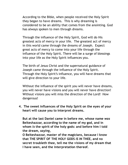According to the Bible, when people received the Holy Spirit they began to have dreams. This is why dreaming is considered to be an ability that comes from the anointing. God has always spoken to men through dreams.

Through the influence of the Holy Spirit, God will do His greatest acts of mercy in your life. The greatest act of mercy in this world came through the dreams of Joseph. Expect great acts of mercy to come into your life through the influence of the Holy Spirit. There will be a surge of blessings into your life as the Holy Spirit influences you.

The birth of Jesus Christ and the supernatural guidance of Joseph came through the influence of the Holy Spirit. Through the Holy Spirit's influence, you will have dreams that will give direction to your life.

Without the influence of the spirit you will never have dreams, you will never have visions and you will never have direction! Without visions you will miss the direction of the Lord! How dangerous!

**4. The sweet influences of the Holy Spirit on the eyes of your heart will cause you to interpret dreams.**

**But at the last Daniel came in before me, whose name** *was* **Belteshazzar, according to the name of my god, and in whom** *is* **the spirit of the holy gods: and before him I told the dream,** *saying***,**

**O Belteshazzar, master of the magicians, because I know that THE SPIRIT OF THE HOLY GODS** *IS* **IN THEE, and no secret troubleth thee, tell me the visions of my dream that I have seen, and the interpretation thereof.**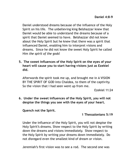Daniel understood dreams because of the influence of the Holy Spirit on his life. The unbelieving king Belshazzar knew that Daniel would be able to understand the dreams because of a spirit that Daniel seemed to have. Belshazzar did not know about the Holy Spirit but he knew that there was a spirit that influenced Daniel, enabling him to interpret visions and dreams. Since he did not know the sweet Holy Spirit he called Him *the spirit of the gods*!

**5. The sweet influences of the Holy Spirit on the eyes of your heart will cause you to start having visions just as Ezekiel did.**

Afterwards the spirit took me up, and brought me in A VISION BY THE SPIRIT OF GOD into Chaldea, to them of the captivity. So the vision that I had seen went up from me.

Ezekiel 11:24

**6. Under the sweet influences of the Holy Spirit, you will not despise the things you see with the eyes of your heart.**

**Quench not the Spirit.**

#### **1 Thessalonians 5:19**

Under the influence of the Holy Spirit, you will not despise the Holy Spirit's dreams. Show respect to the Holy Spirit by writing down the dreams and visions immediately. Show respect to the Holy Spirit by writing your dreams down immediately. Do not disregard even the smallest kind of dream or vision.

Jeremiah's first vision was to see a rod. The second one was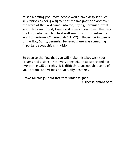to see a boiling pot. Most people would have despised such silly visions as being a figment of the imagination "Moreover the word of the Lord came unto me, saying, Jeremiah, what seest thou? And I said, I see a rod of an almond tree. Then said the Lord unto me, Thou hast well seen: for I will hasten my word to perform it" (Jeremiah 1:11-12). Under the influence of the Holy Spirit, Jeremiah believed there was something important about this mini vision.

Be open to the fact that you will make mistakes with your dreams and visions. Not everything will be accurate and not everything will be right. It is difficult to accept that some of your dreams and visions are actually mistakes.

#### **Prove all things; hold fast that which is good.**

**1 Thessalonians 5:21**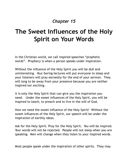### *Chapter 15*

# **The Sweet Influences of the Holy Spirit on Your Words**

In the Christian world, we call inspired speeches "prophetic words". Prophecy is when a person speaks under inspiration.

Without the influence of the Holy Spirit you will be dull and uninteresting. Your boring lectures will put everyone to sleep and your listeners will pray earnestly for the end of your sermon. They will long to be away from your presence because you are neither inspired nor exciting.

It is only the Holy Spirit that can give you the inspiration you need. Under the sweet influences of the Holy Spirit, you will be inspired to teach, to preach and to live in the will of God.

How we need the sweet influence of the Holy Spirit! Without the sweet influences of the Holy Spirit, our speech will be under the inspiration of earthly ideas.

Ask for the Holy Spirit. Pray for the Holy Spirit. You will be inspired. Your words will not be rejected. People will not sleep when you are speaking. Men will change when they listen to your inspired words.

Most people speak under the inspiration of other spirits. They may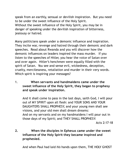speak from an earthly, sensual or devilish inspiration. But you need to be under the sweet influence of the Holy Spirit. Without the sweet influence of the Holy Spirit, you may be in danger of speaking under the devilish inspiration of bitterness, jealousy or hatred.

Many politicians speak under a demonic influence and inspiration. They incite war, revenge and hatred through their demonic and dark speeches. Read about Rwanda and you will discover how the demonic influences on leaders inspired the mass murder. If you listen to the speeches of Hitler, you hear the voice of Satan over and over again. Hitler's henchmen were equally filled with the spirit of Satan. You see and sense evil, wickedness, deception, cruelty, mercilessness, retaliation and murder in their very words. Which spirit is inspiring your messages?

1. **When servants and handmaidens came under the sweet influence of the Holy Spirit, they began to prophesy and speak under inspiration.**

And it shall come to pass in the last days, saith God, I will pour out of MY SPIRIT upon all flesh: and YOUR SONS AND YOUR DAUGHTERS SHALL PROPHESY, and your young men shall see visions, and your old men shall dream dreams: And on my servants and on my handmaidens I will pour out in those days of my Spirit; and THEY SHALL PROPHESY:

Acts 2:17-18

**2. When the disciples in Ephesus came under the sweet influence of the Holy Spirit they became inspired and prophesied.**

And when Paul had laid *his* hands upon them, THE HOLY GHOST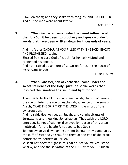CAME on them; and they spake with tongues, and PROPHESIED. And all the men were about twelve.

**3. When Zacharias came under the sweet influence of the Holy Spirit he began to prophesy and speak wonderful words that have been written down for thousands of years.**

And his father ZACHARIAS WAS FILLED WITH THE HOLY GHOST, AND PROPHESIED, saying,

Blessed *be* the Lord God of Israel; for he hath visited and redeemed his people,

And hath raised up an horn of salvation for us in the house of his servant David;

Luke 1:67-69

#### **4. When Jahaziel, son of Zechariah, came under the sweet influence of the Holy Spirit, he spoke words that inspired the Israelites to rise up and fight for God.**

Then UPON JAHAZIEL the son of Zechariah, the son of Benaiah, the son of Jeiel, the son of Mattaniah, a Levite of the sons of Asaph, CAME THE SPIRIT OF THE LORD in the midst of the congregation;

And he said, Hearken ye, all Judah, and ye inhabitants of Jerusalem, and thou king Jehoshaphat, Thus saith the LORD unto you, Be not afraid nor dismayed by reason of this great multitude; for the battle *is* not yours, but God's.

To morrow go ye down against them: behold, they come up by the cliff of Ziz; and ye shall find them at the end of the brook, before the wilderness of Jeruel.

Ye shall not *need* to fight in this *battle*: set yourselves, stand ye *still*, and see the salvation of the LORD with you, O Judah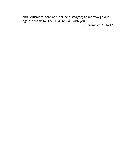and Jerusalem: fear not, nor be dismayed; to morrow go out against them: for the LORD *will be* with you.

2 Chronicles 20:14-17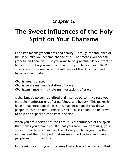### *Chapter 16*

# **The Sweet Influences of the Holy Spirit on Your Charisma**

Charisma means gracefulness and beauty. Through the influence of the Holy Spirit you become charismatic. That means you become graceful and beautiful. Do you want to be graceful? Do you want to be beautiful? Do you want to attract the people God has called? Then you must come under the influence of the Holy Spirit and become charismatic.

#### *Charis* **means grace.** *Charisma* **means manifestation of grace.** *Charismata* **means multiple manifestations of grace.**

A charismatic person is a gifted and inspired person. He receives multiple manifestations of gracefulness and beauty. This makes him have a magnetic appeal. It is this magnetic appeal that draws people to listen to him. The Holy Spirit causes people to be drawn to help and support a charismatic person.

When you are a servant of the Lord, it is the influence of the spirit that makes you attractive. It is not your looks, your dressing, your education or how tall you are that draws people to you. It is the influence of the Holy Spirit that makes you attractive and makes people want to listen to you.

In the ministry, it is your giftedness that attracts the masses. Most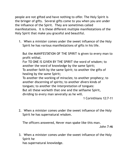people are not gifted and have nothing to offer. The Holy Spirit is the bringer of gifts. Several gifts come to you when you are under the influence of the Spirit. They are sometimes called manifestations. It is these different multiple manifestations of the Holy Spirit that make you graceful and beautiful.

1. When a minister comes under the sweet influence of the Holy Spirit he has various manifestations of gifts in his life.

But the MANIFESTATION OF THE SPIRIT is given to every man to profit withal.

For TO ONE IS GIVEN BY THE SPIRIT the word of wisdom; to another the word of knowledge by the same Spirit;

To another faith by the same Spirit; to another the gifts of healing by the same Spirit;

To another the working of miracles; to another prophecy; to another discerning of spirits; to another *divers* kinds of tongues; to another the interpretation of tongues: But all these worketh that one and the selfsame Spirit, dividing to every man severally as he will.

1 Corinthians 12:7-11

2. When a minister comes under the sweet influence of the Holy Spirit he has supernatural wisdom.

The officers answered, Never man spake like this man.

John 7:46

3. When a minister comes under the sweet influence of the Holy Spirit he

has supernatural knowledge.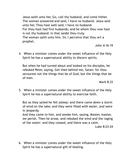Jesus saith unto her, Go, call thy husband, and come hither. The woman answered and said, I have no husband. Jesus said unto her, Thou hast well said, I have no husband: For thou hast had five husbands; and he whom thou now hast is not thy husband: in that saidst thou truly. The woman saith unto him, Sir, I perceive that thou art a prophet.

John 4:16-19

4. When a minister comes under the sweet influence of the Holy Spirit he has a supernatural ability to discern spirits.

But when he had turned about and looked on his disciples, he rebuked Peter, saying, Get thee behind me, Satan: for thou savourest not the things that be of God, but the things that be of men.

Mark 8:33

5. When a minister comes under the sweet influence of the Holy Spirit he has a supernatural ability to exercise faith.

But as they sailed he fell asleep: and there came down a storm of wind on the lake; and they were filled *with water*, and were in jeopardy.

And they came to him, and awoke him, saying, Master, master, we perish. Then he arose, and rebuked the wind and the raging of the water: and they ceased, and there was a calm.

Luke 8:23-24

6. When a minister comes under the sweet influence of the Holy Spirit he has a supernatural gift of healing.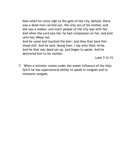Now when he came nigh to the gate of the city, behold, there was a dead man carried out, the only son of his mother, and she was a widow: and much people of the city was with her. And when the Lord saw her, he had compassion on her, and said unto her, Weep not.

And he came and touched the bier: and they that bare *him* stood still. And he said, Young man, I say unto thee, Arise. And he that was dead sat up, and began to speak. And he delivered him to his mother.

Luke 7:12-15

7. When a minister comes under the sweet influence of the Holy Spirit he has supernatural ability to speak in tongues and to interpret tongues.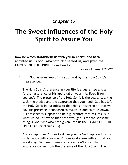## **The Sweet Influences of the Holy Spirit to Assure You**

**Now he which stablisheth us with you in Christ, and hath anointed us, is God; Who hath also sealed us, and given the EARNEST OF THE SPIRIT in our hearts.**

**2 Corinthians 1:21-22**

**1. God assures you of His approval by the Holy Spirit's presence**.

The Holy Spirit's presence in your life is a guarantee and a further assurance of His approval on your life. Read it for yourself: The presence of the Holy Spirit is the guarantee, the seal, the pledge and the assurance that you need. God has left the Holy Spirit in our midst so that He is present in all that we do. His presence is supposed to assure us and calm us down. His presence is supposed to be a guarantee that assures us in what we do. "Now he that hath wrought us for the selfsame thing is God, who also hath given unto us the EARNEST OF THE SPIRIT" (2 Corinthians 5:5).

Are you approved? Does God like you? Is God happy with you? Is He happy with your songs? Does God agree with all that you are doing? You need some assurance, don't you? That assurance comes from the presence of the Holy Spirit. The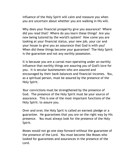influence of the Holy Spirit will calm and reassure you when you are uncertain about whether you are walking in His will.

Why does your financial prosperity give you assurance? Where did you read that? Where do you learn these things? Are you now being tutored by the world's system? How come you are looking at your financial status, your new job, your car and your house to give you an assurance that God is with you? When did these things become your guarantee? The Holy Spirit is the guarantee and not any earthly possession.

It is because you are a carnal man operating under an earthly influence that earthly things are assuring you of God's love for you. It is secular businessmen who are assured and encouraged by their bank balances and financial incomes. You, as a spiritual person, must be assured by the presence of the Holy Spirit.

Your convictions must be strengthened by the presence of God. The presence of the Holy Spirit must be your source of assurance. This is one of the most important functions of the Holy Spirit: to assure you.

Over and over, the Holy Sprit is called an earnest pledge or a guarantee. He guarantees that you are on the right way by His presence. You must always look for the presence of the Holy Spirit.

Moses would not go one step forward without the guarantee of the presence of the Lord. You must become like Moses who looked for guarantees and assurances in the presence of the Lord.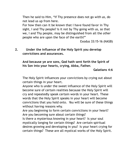Then he said to Him, "If Thy presence does not go *with us,* do not lead us up from here.

For how then can it be known that I have found favor in Thy sight, I and Thy people? Is it not by Thy going with us, so that we, I and Thy people, may be distinguished from all the *other* people who are upon the face of the earth?"

Exodus 33:15-16 (NASB)

**2. Under the influence of the Holy Spirit you develop convictions and assurances.**

**And because ye are sons, God hath sent forth the Spirit of his Son into your hearts, crying, Abba, Father.**

**Galatians 4:6**

The Holy Spirit influences your convictions by crying out about certain things in your heart.

Anyone who is under the sweet influence of the Holy Spirit will become sure of certain realities because the Holy Spirit will cry and repeatedly speak certain words in your heart. These words that the Holy Spirit speaks in your heart will become convictions that you hold onto. You will be sure of these things without having reasons why.

Are you beginning to form certain convictions in your heart? Are you becoming sure about certain things?

Is there a mysterious knowing in your heart? Is your soul mystically longing for certain things? Are certain spiritual desires growing and developing in you? Is your heart crying for certain things? These are all mystical works of the Holy Spirit.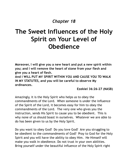## **The Sweet Influences of the Holy Spirit on Your Level of Obedience**

**Moreover, I will give you a new heart and put a new spirit within you; and I will remove the heart of stone from your flesh and give you a heart of flesh.**

**And I WILL PUT MY SPIRIT WITHIN YOU AND CAUSE YOU TO WALK IN MY STATUTES, and you will be careful to observe My ordinances.**

**Ezekiel 36:26-27 (NASB)**

Amazingly, it is the Holy Spirit who helps us to obey the commandments of the Lord. When someone is under the influence of the Spirit of the Lord, it becomes easy for him to obey the commandments of the Lord. The very one who gives you the instruction, sends His Spirit to cause you to be obedient. This is why none of us should boast in ourselves. Whatever we are able to do has been given to us by the Holy Spirit.

Do you want to obey God? Do you love God? Are you struggling to be obedient to the commandments of God? Pray to God for the Holy Spirit and you will have the ability to obey Him. He Himself will make you walk in obedience. Do not trust in your own abilities. Bring yourself under the beautiful influence of the Holy Spirit right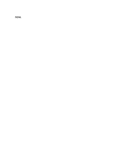now.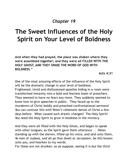# **The Sweet Influences of the Holy Spirit on Your Level of Boldness**

**And when they had prayed, the place was shaken where they were assembled together; and they were all FILLED WITH THE HOLY GHOST, AND THEY SPAKE THE WORD OF GOD WITH BOLDNESS."**

**Acts 4:31**

One of the most amazing effects of the influence of the Holy Spirit will be the dramatic change in your level of boldness. Frightened, timid and disillusioned apostles hiding in a room were transformed instantly into a bold and fearless team of preachers. They seemed to have no fears any more. They suddenly seemed to know how to give speeches in public. They faced up to the murderers of Christ boldly and preached confrontational sermons! You can contrast this with Peter's vehement denial of Christ a few days before. What caused such drastic changes? The Holy Spirit! You need the Holy Spirit to grow in boldness in the ministry.

And they were all filled with the Holy Ghost, and began to speak with other tongues, as the Spirit gave them utterance . . .Peter, standing up with the eleven, lifted up his voice, and said unto them, Ye men of Judaea, and all *ye* that dwell at Jerusalem, be this known unto you, and hearken to my words:

For these are not drunken, as ye suppose, seeing it is *but* the third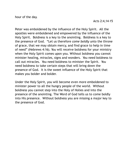Peter was emboldened by the influence of the Holy Spirit. All the apostles were emboldened and empowered by the influence of the Holy Spirit. Boldness is a key to the anointing. Boldness is a key to the presence of God. "Let us therefore *come boldly* unto the throne of grace, that we may obtain mercy, and find grace to help in time of need" (Hebrews 4:16). You will receive boldness for your ministry when the Holy Spirit comes upon you. Without boldness you cannot minister healing, miracles, signs and wonders. You need boldness to call out miracles. You need boldness to minister the Spirit. You need boldness to take certain steps that will bring down the presence of God. It is the sweet influence of the Holy Spirit that makes you bolder and bolder.

Under the Holy Spirit, you will become even more emboldened to minister power to all the hungry people of the world. Without boldness you cannot step into the Holy of Holies and into the presence of the anointing. The Word of God tells us to come boldly into His presence. Without boldness you are missing a major key to the presence of God.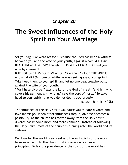# **The Sweet Influences of the Holy Spirit on Your Marriage**

Yet you say, 'For what reason?' Because the Lord has been a witness between you and the wife of your youth, against whom YOU HAVE DEALT TREACHEROUSLY, though SHE IS YOUR COMPANION and your wife by covenant.

BUT NOT ONE HAS DONE *SO* WHO HAS A REMNANT OF THE SPIRIT. And what did *that* one *do* while he was seeking a godly offspring? Take heed then, to your spirit, and let no one deal treacherously against the wife of your youth.

"For I hate divorce, " says the Lord, the God of Israel, "and him who covers his garment with wrong, " says the Lord of hosts. "So take heed to your spirit, that you do not deal treacherously.

Malachi 2:14-16 (NASB)

The influence of the Holy Spirit will cause you to hate divorce and love marriage. When other influences step in, divorce becomes a possibility. As the church has moved away from the Holy Spirit, divorce has become more and more common. Instead of following the Holy Spirit, most of the church is running after the world and its systems.

Our love for the world is so great and the evil spirits of the world have swarmed into the church, taking over our values and principles. Today, the prevalence of the spirit of the world has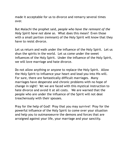made it acceptable for us to divorce and remarry several times over.

But Malachi the prophet said, *people who have the remnant of the Holy Spirit have not done so*. What does this mean? Even those with a small portion (remnant) of the Holy Spirit will know that they have to resist divorce.

Let us return and walk under the influence of the Holy Spirit. Let us shun the spirits in the world. Let us come under the sweet influences of the Holy Spirit. Under the influence of the Holy Spirit, we will love marriage and hate divorce.

Do not allow anything or anyone to replace the Holy Spirit. Allow the Holy Spirit to influence your heart and lead you into His will. For sure, there are fantastically difficult marriages. Many marriages have desperate and chronic problems with no hope of change in sight! Yet we are faced with this mystical instruction to hate divorce and avoid it at all costs. We are warned that the people who are under the influence of the Spirit will not deal treacherously with their spouses.

Pray for the help of God! Pray that you may survive! Pray for the powerful influence of the Holy Spirit to come over your situation and help you to outmanoeuvre the demons and forces that are arraigned against your life, your marriage and your sanctity.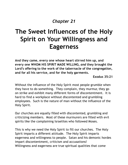# **The Sweet Influences of the Holy Spirit on Your Willingness and Eagerness**

**And they came, every one whose heart stirred him up, and every one WHOM HIS SPIRIT MADE WILLING,** *and* **they brought the Lord's offering to the work of the tabernacle of the congregation, and for all his service, and for the holy garments.**

**Exodus 35:21**

Without the influence of the Holy Spirit most people grumble when they have to do something. They complain, they murmur, they go on strike and exhibit many different forms of discontentment. It is hard to find a workplace without discontented and grumbling employees. Such is the nature of man without the influence of the Holy Spirit.

Our churches are equally filled with discontented, grumbling and criticizing members. Most of these murmurers are filled with evil spirits like the complaining Israelites who followed Moses.

This is why we need the Holy Spirit to fill our churches. The Holy Spirit imparts a different attitude. The Holy Spirit imparts eagerness and willingness to people. Satan and his demonic hordes impart discontentment, criticism and accusations! Willingness and eagerness are true spiritual qualities that come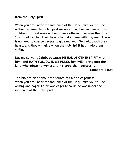from the Holy Spirit.

When you are under the influence of the Holy Spirit you will be willing because the Holy Spirit makes you willing and eager. The children of Israel were willing to give offerings because the Holy Spirit had touched their hearts to make them willing givers. There is no need to coerce people to give money. God will touch their hearts and they will give when the Holy Spirit has made them willing.

**But my servant Caleb, because HE HAD ANOTHER SPIRIT with him, and HATH FOLLOWED ME FULLY, him will I bring into the land whereinto he went; and his seed shall possess it.**

**Numbers 14:24**

The Bible is clear about the source of Caleb's eagerness. When you are under the influence of the Holy Spirit you will be willing and eager. Caleb was eager because he was under the influence of the Holy Spirit.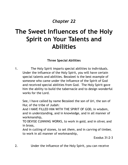# **The Sweet Influences of the Holy Spirit on Your Talents and Abilities**

#### **Three Special Abilities**

1. The Holy Spirit imparts special abilities to individuals. Under the influence of the Holy Spirit, you will have certain special talents and abilities. Bezaleel is the best example of someone who came under the influence of the Spirit of God and received special abilities from God. The Holy Spirit gave him the ability to build the tabernacle and to design wonderful works for the Lord.

See, I have called by name Bezaleel the son of Uri, the son of Hur, of the tribe of Judah:

And I HAVE FILLED HIM WITH THE SPIRIT OF GOD, in wisdom, and in understanding, and in knowledge, and in all manner of workmanship,

TO DEVISE CUNNING WORKS, to work in gold, and in silver, and in brass,

And in cutting of stones, to set *them*, and in carving of timber, to work in all manner of workmanship,

Exodus 31:2-3

2. Under the influence of the Holy Spirit, you can receive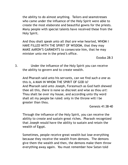the ability to do almost anything. Tailors and seamstresses who came under the influence of the Holy Spirit were able to create the most elaborate and beautiful gowns for the priests. Many people with special talents have received these from the Holy Spirit.

And thou shalt speak unto all *that are* wise hearted, WHOM I HAVE FILLED WITH THE SPIRIT OF WISDOM, that they may MAKE AARON'S GARMENTS to consecrate him, that he may minister unto me in the priest's office.

Exodus 28:3

3. Under the influence of the Holy Spirit you can receive the ability to govern and to create wealth.

And Pharaoh said unto his servants, can we find *such a one* as this *is*, A MAN IN WHOM THE SPIRIT OF GOD *is*? And Pharaoh said unto Joseph, Forasmuch as God hath shewed thee all this, *there is* none so discreet and wise as thou *art*: Thou shalt be over my house, and according unto thy word shall all my people be ruled: only in the throne will I be greater than thou.

Genesis 41:38-40

Through the influence of the Holy Spirit, you can receive the ability to create and sustain great riches. Pharaoh recognized that Joseph would have the ability to sustain and retain the wealth of Egypt.

Sometimes, people receive great wealth but lose everything because they receive the wealth from demons. The demons give them the wealth and then, the demons make them throw everything away again. You must remember how Satan told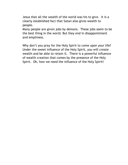Jesus that all the wealth of the world was his to give. It is a clearly established fact that Satan also gives wealth to people.

Many people are given jobs by demons. These jobs seem to be the best thing in the world. But they end in disappointment and emptiness.

Why don't you pray for the Holy Spirit to come upon your life? Under the sweet influence of the Holy Spirit, you will create wealth and be able to retain it. There is a powerful influence of wealth creation that comes by the presence of the Holy Spirit. Oh, how we need the influence of the Holy Spirit!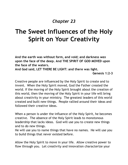# **The Sweet Influences of the Holy Spirit on Your Creativity**

**And the earth was without form, and void; and darkness** *was* **upon the face of the deep. And THE SPIRIT OF GOD MOVED upon the face of the waters. And God said, LET THERE BE LIGHT: and there was light.**

**Genesis 1:2-3**

Creative people are influenced by the Holy Spirit to create and to invent. When the Holy Spirit moved, God the Father created the world. If the moving of the Holy Spirit brought about the creation of this world, then the moving of the Holy Spirit in your life will bring about creativity in your ministry. The greatest leaders of this world created and built new things. People rallied around their ideas and followed their creative ideas.

When a person is under the influence of the Holy Spirit, he becomes creative. The absence of the Holy Spirit leads to monotonous leadership that lacks ideas. God will use you to create new things and to do new things.

He will use you to name things that have no names. He will use you to build things that never existed before.

Allow the Holy Spirit to move in your life. Allow creative power to flow through you. Let creativity and innovation characterize your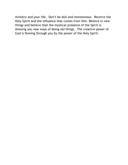ministry and your life. Don't be dull and monotonous. Receive the Holy Spirit and the influence that comes from Him. Believe in new things and believe that the mystical presence of the Spirit is showing you new ways of doing old things. The creative power of God is flowing through you by the power of the Holy Spirit.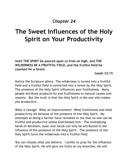# **The Sweet Influences of the Holy Spirit on Your Productivity**

**Until THE SPIRIT be poured upon us from on high, and THE WILDERNESS BE A FRUITFUL FIELD, and the fruitful field be counted for a forest.**

**Isaiah 32:15**

Notice the Scripture above. The wilderness is turned into a fruitful field and a fruitful field is converted into a forest by the Holy Spirit. The presence of the Holy Spirit influences your fruitfulness. Many people attribute productivity and fruitfulness to natural causes and reasons. But the truth is that the Holy Spirit is the one who makes you productive.

What a change! What an improvement! What fruitfulness and what productivity all because of the presence of the Holy Spirit. My attempts at being a farmer have revealed to me that no one can be fruitful and productive unless God blesses him. The multiplying herds of Abraham, Isaac and Jacob can only be attributed to the influence of the presence of the Holy Spirit. The presence of the Holy Spirit turns the wilderness into a fruitful field.

You can choose what you believe. I prefer to pray for the influence of the Holy Spirit. He will give me fruits on my branches. He will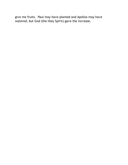give me fruits. Paul may have planted and Apollos may have watered, but God (the Holy Spirit) gave the increase.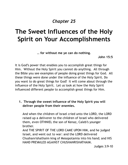## **The Sweet Influences of the Holy Spirit on Your Accomplishments**

**… for without me ye can do nothing.**

**John 15:5**

It is God's power that enables you to accomplish great things for Him. Without the Holy Spirit you cannot do anything. All through the Bible you see examples of people doing great things for God. All these things were done under the influence of the Holy Spirit. Do you want to do great things for God? It will come about through the influence of the Holy Spirit. Let us look at how the Holy Spirit influenced different people to accomplish great things for Him.

**1. Through the sweet influence of the Holy Spirit you will deliver people from their enemies.**

And when the children of Israel cried unto the LORD, the LORD raised up a deliverer to the children of Israel who delivered them, even OTHNIEL the son of Kenaz, Caleb's younger brother.

And THE SPIRIT OF THE LORD CAME UPON HIM, and he judged Israel, and went out to war: and the LORD delivered Chushanrishathaim king of Mesopotamia into his hand; and HIS HAND PREVAILED AGAINST CHUSHANRISHATHAIM.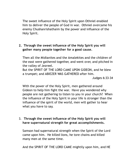The sweet influence of the Holy Spirit upon Othniel enabled him to deliver the people of God in war. Othniel overcame his enemy Chushanrishathaim by the power and influence of the Holy Spirit.

#### **2. Through the sweet influence of the Holy Spirit you will gather many people together for a good cause.**

Then all the Midianites and the Amalekites and the children of the east were gathered together, and went over, and pitched in the valley of Jezreel.

But the SPIRIT OF THE LORD CAME UPON GIDEON, and he blew a trumpet; and ABIEZER WAS GATHERED after him.

Judges 6:33-34

With the power of the Holy Spirit, men gathered around Gideon to help him fight the war. Have you wondered why people are not gathering to listen to you in your church? When the influence of the Holy Spirit in your life is stronger than the influence of the spirit of the world, men will gather to hear what you have to say.

#### 3. **Through the sweet influence of the Holy Spirit you will have supernatural strength for great accomplishments.**

Samson had supernatural strength when the Spirit of the Lord came upon him. He killed lions, he tore chains and killed many men at the same time.

And the SPIRIT OF THE LORD CAME mightily upon him, and HE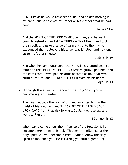RENT HIM as he would have rent a kid, and *he had* nothing in his hand: but he told not his father or his mother what he had done.

Judges 14:6

And the SPIRIT OF THE LORD CAME upon him, and he went down to Ashkelon, and SLEW THIRTY MEN of them, and took their spoil, and gave change of garments unto them which expounded the riddle. And his anger was kindled, and he went up to his father's house.

Judges 14:19

*And* when he came unto Lehi, the Philistines shouted against him: and the SPIRIT OF THE LORD CAME mightily upon him, and the cords that *were* upon his arms became as flax that was burnt with fire, and HIS BANDS LOOSED from off his hands. Judges 15:14

4. **Through the sweet influence of the Holy Spirit you will become a great leader.**

Then Samuel took the horn of oil, and anointed him in the midst of his brethren: and THE SPIRIT OF THE LORD CAME UPON DAVID from that day forward. So Samuel rose up, and went to Ramah.

1 Samuel 16:13

When David came under the influence of the Holy Spirit he became a great king of Israel. Through the influence of the Holy Spirit you will become a great leader. Allow the Holy Spirit to influence you. He is turning you into a great king.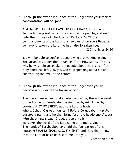5. **Through the sweet influence of the Holy Spirit your fear of confrontation will be gone**.

And the SPIRIT OF GOD CAME UPON ZECHARIAH the son of Jehoiada the priest, which stood above the people, and said unto them, thus saith God, WHY TRANSGRESS YE the commandments of the Lord, that ye cannot prosper? Because ye have forsaken the Lord, he hath also forsaken you. 2 Chronicles 24:20

You will be able to confront people who are walking in sin. Zechariah was under the influence of the Holy Spirit. That is why he was able to rebuke the people about their sins. If the Holy Spirit has left you, you will stop speaking about sin and confronting the evil in the church.

#### 6. **Through the sweet influence of the Holy Spirit you will become a builder of the house of God.**

Then he answered and spake unto me, saying, this *is* the word of the Lord unto Zerubbabel, saying, not by might, nor by power, but BY MY SPIRIT, saith the Lord of hosts. Who *art* thou, O great mountain? Before Zerubbabel *thou shalt become* a plain: and he shall bring forth the headstone *thereof with* shoutings, *crying*, Grace, grace unto it. Moreover the word of the Lord came unto me, saying, The hands of Zerubbabel have laid the foundation of this house; HIS HANDS SHALL ALSO FINISH IT; and thou shalt know that the Lord of hosts hath sent me unto you.

Zechariah 4:6-9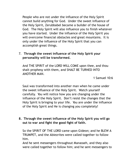People who are not under the influence of the Holy Spirit cannot build anything for God. Under the sweet influence of the Holy Spirit, Zerubbabel became a builder of the house of God. The Holy Spirit will also influence you to finish whatever you have started. Under the influence of the Holy Spirit you will overcome financial obstacles and great mountains. It is only under the influence of the Holy Spirit that you can accomplish great things.

#### 7. **Through the sweet influence of the Holy Spirit your personality will be transformed.**

And THE SPIRIT of the LORD WILL COME upon thee, and thou shalt prophesy with them, and SHALT BE TURNED INTO ANOTHER MAN.

1 Samuel 10:6

Saul was transformed into another man when he came under the sweet influence of the Holy Spirit. Watch yourself carefully. You will notice how you are changing under the influence of the Holy Spirit. Don't resist the changes that the Holy Spirit is bringing to your life. You are under the influence of the Holy Spirit and He is changing you completely!

#### **8. Through the sweet influence of the Holy Spirit you will go out to war and fight the good fight of faith.**

So the SPIRIT OF THE LORD came upon Gideon; and he BLEW A TRUMPET, and the Abiezrites were called together to follow him.

And he sent messengers throughout Manasseh, and they also were called together to follow him; and he sent messengers to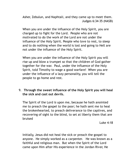Asher, Zebulun, and Naphtali, and they came up to meet them. Judges 6:34-35 (NASB)

When you are under the influence of the Holy Spirit, you are charged up to fight for the Lord. People who are not motivated to do the work of the Lord are not under the influence of the Holy Spirit. People who love to rest, to sleep and to do nothing when the world is lost and going to Hell are not under the influence of the Holy Spirit.

When you are under the influence of the Holy Spirit you will rise up and blow a trumpet so that the children of God gather together for the war. Paul, under the influence of the Holy Spirit, told Timothy to wage a good warfare! When you are under the influence of a lazy personality, you will tell the people to go home and rest.

#### 9. **Through the sweet influence of the Holy Spirit you will heal the sick and cast out devils.**

The Spirit of the Lord *is* upon me, because he hath anointed me to preach the gospel to the poor; he hath sent me to heal the brokenhearted, to preach deliverance to the captives, and recovering of sight to the blind, to set at liberty them that are bruised

Luke 4:18

Initially, Jesus did not heal the sick or preach the gospel to anyone. He simply worked as a carpenter. He was known as a faithful and religious man. But when the Spirit of the Lord came upon Him after His experience in the Jordan River, He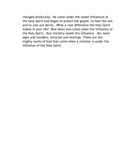changed drastically. He came under the sweet influences of the Holy Spirit and began to preach the gospel, to heal the sick and to cast out devils. What a vast difference the Holy Spirit makes in your life! Bow down and come under the influence of the Holy Spirit. Your ministry needs this influence. You need signs and wonders, miracles and healings. These are the mighty works of God that come when a minister is under the influence of the Holy Spirit.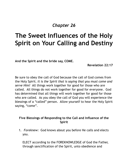# **The Sweet Influences of the Holy Spirit on Your Calling and Destiny**

**And the Spirit and the bride say, COME.**

**Revelation 22:17**

Be sure to obey the call of God because the call of God comes from the Holy Spirit. *It is the Spirit that is saying that you must come and serve Him!* All things work together for good for those who are called. All things do not work together for good for everyone. God has determined that all things will work together for good for those who are called. As you obey the call of God you will experience the blessings of a "called" person. Allow yourself to hear the Holy Spirit saying, "come".

#### **Five Blessings of Responding to the Call and Influence of the Spirit**

1. *Foreknew:* God knows about you before He calls and elects you.

ELECT according to the FOREKNOWLEDGE of God the Father, through sanctification of the Spirit, unto obedience and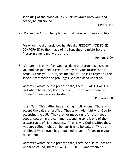sprinkling of the blood of Jesus Christ: Grace unto you, and peace, be multiplied.

2. *Predestined:* God had planned that He would make you like Him.

For whom he did foreknow, he also did PREDESTINATE TO BE CONFORMED to the image of his Son, that he might be the firstborn among many brethren.

Romans 8:29

3. *Called:* It is only after God has done background checks on you and has planned a great destiny for your future that He actually calls you. To reject the call of God is to reject all the special treatment and privileges God has lined up for you.

Moreover whom he did predestinate, them HE ALSO CALLED: and whom he called, them he also justified: and whom he justified, them he also glorified.

Romans 8:30

4. *Justified:* This calling has amazing implications. Those who accept the call are justified. They are made right with God for accepting the call. They are not made right for their good deeds. Accepting the call and responding to it is one of the greatest acts of righteousness. That is why God justifies those who are called. What an honour it is to be called! What a privilege! What grace has abounded to your life because you are called!

Moreover whom he did predestinate, them he also called: and whom he called, them HE ALSO JUSTIFIED: and whom he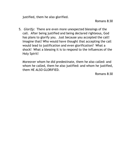justified, them he also glorified.

Romans 8:30

5. *Glorify:* There are even more unexpected blessings of the call. After being justified and being declared righteous, God has plans to glorify you. Just because you accepted the call! Imagine that! Who would have thought that accepting the call would lead to justification and even glorification? What a shock! What a blessing it is to respond to the influences of the Holy Spirit!

Moreover whom he did predestinate, them he also called: and whom he called, them he also justified: and whom he justified, them HE ALSO GLORIFIED.

Romans 8:30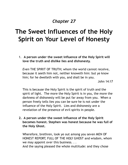# **The Sweet Influences of the Holy Spirit on Your Level of Honesty**

1. **A person under the sweet influence of the Holy Spirit will love the truth and dislike lies and dishonesty.**

*Even* THE SPIRIT OF TRUTH; whom the world cannot receive, because it seeth him not, neither knoweth him: but ye know him; for he dwelleth with you, and shall be in you.

John 14:17

This is because the Holy Spirit is the spirit of truth and the spirit of light. The more the Holy Spirit is in you, the more the darkness of dishonesty will be put far away from you. When a person freely tells lies you can be sure he is not under the influence of the Holy Spirit. Lies and dishonesty are a revelation of the presence of evil spirits in people.

**2. A person under the sweet influence of the Holy Spirit becomes honest. Stephen was honest because he was full of the Holy Ghost.**

Wherefore, brethren, look ye out among you seven MEN OF HONEST REPORT, FULL OF THE HOLY GHOST and wisdom, whom we may appoint over this business. . . And the saying pleased the whole multitude: and they chose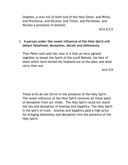Stephen, a man full of faith and of the Holy Ghost, and Philip, and Prochorus, and Nicanor, and Timon, and Parmenas, and Nicolas a proselyte of Antioch:

Acts 6:3,5

#### 3. **A person under the sweet influence of the Holy Spirit will detect falsehood, deception, deceit and dishonesty.**

Then Peter said unto her, how is it that ye have agreed together to tempt the Spirit of the Lord? Behold, the feet of them which have buried thy husband *are* at the door, and shall carry thee out.

Acts 5:9

These evils do not thrive in the presence of the Holy Spirit. The sweet influence of the Holy Spirit removes all these spots of deception from our midst. The Holy Spirit could not stand the lies and deception of Ananias and Sapphira. The Holy Spirit is the spirit of truth. Ananias and Sapphira paid a high price for bringing dishonesty and deception into the presence of the Holy Spirit.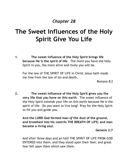## **The Sweet Influences of the Holy Spirit Give You Life**

**1. The sweet influence of the Holy Spirit brings life because He is the spirit of life.** The more you have the Holy Spirit in you, the more alive and lively you will be.

For the law of THE SPIRIT OF LIFE in Christ Jesus hath made me free from the law of sin and death.

Romans 8:2

**2. The sweet influence of the Holy Spirit gives you the very life that you have on this earth**. The sweet influence of the Holy Spirit extends your life on this earth because He is the spirit of life. Do you want to live long? Pray for the Holy Spirit to fill you and guide you.

**And the LORD God formed man** *of* **the dust of the ground, and breathed into his nostrils THE BREATH OF LIFE; and man became a living soul.**

**Genesis 2:7**

And after three days and an half THE SPIRIT OF LIFE FROM GOD ENTERED into them, and they stood upon their feet; and great fear fell upon them which saw them.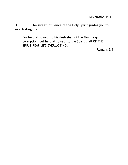**3. The sweet influence of the Holy Spirit guides you to everlasting life.**

For he that soweth to his flesh shall of the flesh reap corruption; but he that soweth to the Spirit shall OF THE SPIRIT REAP LIFE EVERLASTING.

Romans 6:8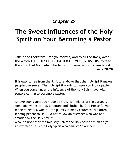## **The Sweet Influences of the Holy Spirit on Your Becoming a Pastor**

**Take heed therefore unto yourselves, and to all the flock, over the which THE HOLY GHOST HATH MADE YOU OVERSEERS, to feed the church of God, which he hath purchased with his own blood. Acts 20:28**

It is easy to see from the Scripture above that the Holy Spirit makes people overseers. The Holy Spirit wants to make you into a pastor. When you come under the influence of the Holy Spirit, you will sense a calling to become a pastor.

An overseer cannot be made by man. A minister of the gospel is someone who is called, anointed and clothed by God Himself. Manmade ministers, who fill the pulpits of many churches, are often leading people to Hell. Do not follow an overseer who was not "made" by the Holy Spirit!

Also, do not enter the ministry unless the Holy Spirit has made you an overseer. It is the Holy Spirit who "makes" overseers.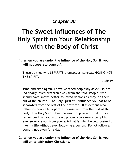## **The Sweet Influences of The Holy Spirit on Your Relationship with the Body of Christ**

**1. When you are under the influence of the Holy Spirit, you will not separate yourself.**

These be they who SEPARATE themselves, sensual, HAVING NOT THE SPIRIT.

Jude 19

Time and time again, I have watched helplessly as evil spirits led dearly loved brethren away from the fold. People, who should have known better, followed demons as they led them out of the church. The Holy Spirit will influence you *not* to be separated from the rest of the brethren. It is demons who influence people to separate themselves from the rest of the body. The Holy Spirit does the exact opposite of that. If you remember this, you will react properly to every attempt to ever separate you from your spiritual family. I would prefer to live my life without ever following a demon. Do not follow a demon, not even for a day!

**2. When you are under the influence of the Holy Spirit, you will unite with other Christians.**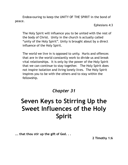Endeavouring to keep the UNITY OF THE SPIRIT in the bond of peace.

Ephesians 4:3

The Holy Spirit will influence you to be united with the rest of the body of Christ. Unity in the church is actually called "unity of the Holy Spirit". Unity is brought about by a direct influence of the Holy Spirit.

The world we live in is opposed to unity. Hurts and offences that are in the world constantly work to divide us and break vital relationships. It is only by the power of the Holy Spirit that we can continue to stay together. The Holy Spirit does not inspire isolation and living lonely lives. The Holy Spirit inspires you to be with the others and to stay within the fellowship.

*Chapter 31*

# **Seven Keys to Stirring Up the Sweet Influences of the Holy Spirit**

**... that thou stir up the gift of God. . .**

**2 Timothy 1:6**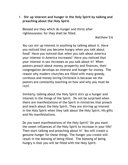1. **Stir up interest and hunger in the Holy Spirit by talking and preaching about the Holy Spirit**.

Blessed are they which do hunger and thirst after righteousness: for they shall be filled.

Matthew 5:6

You can stir up interest in anything by talking about it. Have you noticed that you become hungry when you talk about food? Have you noticed that when you talk about America your interest in America increases? Have you noticed that your interest in sex increases as you talk about it? When pastors preach about money, prosperity and finances, their congregation develops an interest and hunger for money. The reason why modern churches are filled with many greedy, covetous and money-loving Christians is because we the pastors are constantly teaching on how and why you must be rich!

Similarly, talking about the Holy Spirit stirs up a hunger and interest in the things of the Spirit. Do not be surprised when there are manifestations of the Spirit in ministries that preach and teach about the Holy Spirit. They are stirring up interest in the Holy Spirit when they talk about the Holy Spirit, His gifts and His manifestations.

Do you want manifestations of the Holy Spirit? Do you want the sweet influences of the Holy Spirit to increase in your life? Then start talking and preaching about it! You will create a genuine hunger for these things. The hunger you create will result in the blessing of being filled. The blessing of being hungry is that you will be filled with the Holy Spirit.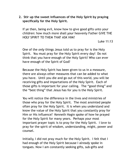# **2. Stir up the sweet influences of the Holy Spirit by praying specifically for the Holy Spirit.**

If ye then, being evil, know how to give good gifts unto your children: how much more shall *your* heavenly Father GIVE THE HOLY SPIRIT TO THEM THAT ASK HIM?

Luke 11:13

One of the *only* things Jesus told us to pray for is the Holy Spirit. You must pray for the Holy Spirit every day! Do not think that you have enough of the Holy Spirit! Who can ever have enough of the Spirit of God?

Because the Holy Spirit has been given to us in a measure, there are always other measures that can be added to what you have. Until you die and go out of this world, you will be receiving gifts and impartations of the Holy Spirit. Each of those gifts is important for your calling. The "good thing" and the "best thing" that Jesus has for you is the Holy Spirit.

You will notice the difference in the lives and ministries of those who pray for the Holy Spirit. The most anointed people often pray for the Holy Spirit. It is when you understand and know the value of the Holy Spirit that you constantly pray for Him or His influence? Kenneth Hagin spoke of how he prayed for the Holy Spirit for many years. Perhaps your most important prayer topic is to pray for the Holy Spirit. I love to pray for the spirit of wisdom, understanding, might, power and counsel.

Initially, I did not pray much for the Holy Spirit. I felt that I had enough of the Holy Spirit because I already spoke in tongues. Now I am constantly seeking gifts, sub-gifts and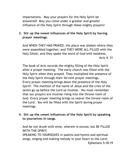impartations. May your prayers for the Holy Spirit be answered! May you come under a greater and greater influence of the Holy Spirit through these mighty prayers!

# **3. Stir up the sweet influences of the Holy Spirit by having prayer meetings.**

And WHEN THEY HAD PRAYED, the place was shaken where they were assembled together; and THEY WERE ALL FILLED with the Holy Ghost, and they spake the word of God with boldness. Acts 4: 31

The book of Acts records the mighty filling of the Holy Spirit after a prayer meeting. The early church was filled with the Holy Spirit when they prayed. They multiplied the presence of the Holy Spirit through their fervent prayer meetings. Every prayer meeting brings down the presence of the Holy Spirit! The mention of the name of Jesus and the cries of the saints go up before the Lord as incense. You must remember that our prayers are incense rising into the throne room of God. Every prayer meeting brings us nearer the throne room of the Lord. You will be filled with the Spirit during prayer meetings.

**4. Stir up the sweet influences of the Holy Spirit by speaking to yourselves in songs.**

And be not drunk with wine, wherein is excess; but BE FILLED WITH THE SPIRIT;

SPEAKING TO YOURSELVES in psalms and hymns and spiritual songs, singing and making melody in your heart to the Lord; Ephesians 5:18-19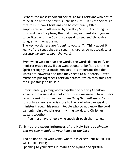Perhaps the most important Scripture for Christians who desire to be filled with the Spirit is Ephesians 5:18. It is the Scripture that tells us how Christians can be continually filled, empowered and influenced by the Holy Spirit. According to this landmark Scripture, the first thing you must do if you want to be filled with the Spirit is to speak to yourself through a song, a hymn or a psalm.

The key words here are "*speak to yourself".* Think about it. Many of the songs that are sung in churches do not speak to us *because we cannot hear the words.*

Even when we can hear the words, the words do not edify or minister grace to us. If you want people to be filled with the Spirit through your music ministry, it is important that the words are powerful and that they speak to our hearts. Often, musicians put together Christian phrases, which they think are the right things to be said.

Unfortunately, joining words together or putting Christian slogans into a song does not constitute a message. *These things do not speak to us! We need something that will speak to us*. It is only someone who is close to the Lord who can speak or minister through his songs. People who do not know the Lord can only join catchphrases, rhyming words and Christian slogans together.

You must have singers who speak through their songs.

# *5.* **Stir up the sweet influences of the Holy Spirit by** *singing and making melody in your heart to the Lord.*

And be not drunk with wine, wherein is excess; but BE FILLED WITH THE SPIRIT;

Speaking to yourselves in psalms and hymns and spiritual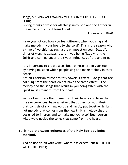songs, SINGING AND MAKING MELODY IN YOUR HEART TO THE LORD;

Giving thanks always for all things unto God and the Father in the name of our Lord Jesus Christ;

Ephesians 5:18-20

Have you noticed how you feel different when you sing and make melody in your heart to the Lord? This is the reason why a time of worship has such a great impact on you. Beautiful times of worship always result in you being filled with the Spirit and coming under the sweet influences of the anointing.

It is important to create a spiritual atmosphere in your room by having music in which people sing and make melody in their hearts.

Not all Christian music has this powerful effect. Songs that are not sung from the heart do not have the same effect. The melody and the songs that result in you being filled with the Spirit must emanate from the heart.

Songs of ministers that come from their hearts and from their life's experiences, have an effect that others do not. Music that consists of rhyming words and hastily put together lyrics is not melody that comes from the heart. It is melody that is designed to impress and to make money. A spiritual person will always notice the songs that come from the heart.

# **6. Stir up the sweet influences of the Holy Spirit by being thankful.**

And be not drunk with wine, wherein is excess; but BE FILLED WITH THE SPIRIT;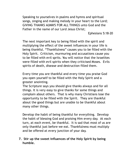Speaking to yourselves in psalms and hymns and spiritual songs, singing and making melody in your heart to the Lord; GIVING THANKS ALWAYS FOR ALL THINGS unto God and the Father in the name of our Lord Jesus Christ;

Ephesians 5:18-20

The next important key to being filled with the spirit and multiplying the effect of the sweet influences in your life is being thankful. "Thankfulness" causes you to be filled with the Holy Spirit. Criticism, murmuring and accusations cause you to be filled with evil sprits. You will notice that the Israelites were filled with evil spirits when they criticised Moses. Evils spirits of death, disease and destruction filled them.

Every time you are thankful and every time you praise God you open yourself to be filled with the Holy Spirit and a greater anointing.

The Scripture says you should give thanks always and for all things. It is very easy to give thanks for some things and complain about others. That is why many Christians lose the opportunity to be filled with the Spirit. They are thankful about the good things but are unable to be thankful about many other things.

Develop the habit of being thankful for everything. Develop the habit of blessing God and praising Him every day. At each turn, at each event, be thankful. It is sad that most of us are only thankful just before we eat. Thankfulness must multiply and be offered at every junction of your day.

# **7. Stir up the sweet influences of the Holy Spirit by being humble.**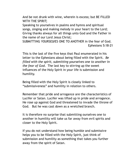And be not drunk with wine, wherein is excess; but BE FILLED WITH THE SPIRIT;

Speaking to yourselves in psalms and hymns and spiritual songs, singing and making melody in your heart to the Lord; Giving thanks always for all things unto God and the Father in the name of our Lord Jesus Christ;

SUBMITTING YOURSELVES ONE TO ANOTHER in the fear of God. Ephesians 5:18-21

This is the last of the five keys that Paul enumerated in his letter to the Ephesians about being filled with the Spirit. *Be filled with the spirit, submitting yourselves one to another in the fear of God*. The last key to stirring up the sweet influences of the Holy Spirit in your life is submission and humility.

Being filled with the Holy Spirit is closely linked to "submissiveness" and humility in relation to others.

Remember that pride and arrogance are the characteristics of Lucifer or Satan. Lucifer was lifted up in pride and arrogance. He rose up against God and threatened to invade the throne of God. But he was cast down as a wretched branch.

It is therefore no surprise that submitting ourselves one to another in humility will take us far away from evil spirits and closer to the Holy Spirit.

If you do not understand how being humble and submissive helps you to be filled with the Holy Spirit, just think of submission and humility as something that takes you further away from the spirit of Satan.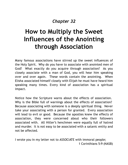# *Chapter 32*

# **How to Multiply the Sweet Influences of the Anointing through Association**

Many famous associations have stirred up the sweet influences of the Holy Spirit. Why do you have to associate with anointed men of God? What exactly do you acquire through association? As you closely associate with a man of God, you will hear him speaking over and over again. These words contain the anointing. When Elisha associated himself closely with Elijah he must have heard him speaking many times. Every kind of association has a spiritual impact.

Notice how the Scripture warns about the effects of association. Why is the Bible full of warnings about the effects of association? Because associating with someone is a deeply spiritual thing. Never take your associating with a person for granted. Every association will lead to evil or good. Because the apostles knew the effects of association, they were concerned about who their followers associated with. All Hitler's henchmen were equally full of hatred and murder. It is not easy to be associated with a satanic entity and not be affected.

I wrote you in my letter not to ASSOCIATE with immoral people; 1 Corinthians 5:9 (NASB)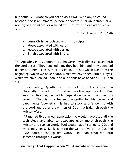But actually, I wrote to you not to ASSOCIATE with any so-called brother if he is an immoral person, or covetous, or an idolater, or a reviler, or a drunkard, or a swindler -- not even to eat with such a one.

1 Corinthians 5:11 (NASB)

- a. Jesus Christ associated with His disciples.
- b. Moses associated with Aaron.
- c. Moses associated with Joshua.
- d. Elijah associated with Elisha.

The Apostles, Peter, James and John were physically associated with the Lord Jesus. They touched him, they held him and they even had dinner with him. This is their testimony: "That which was from the beginning, which we have heard, which we have seen with our eyes, which we have looked upon, and our hands have handled…" (1 John 1:1).

Unfortunately, Apostle Paul did not have the chance to physically interact with Christ as the other apostles did. Paul was just like me; he had to depend on books! He loved his books. That is why he sent urgently for his books and parchments (booklets). He had to study and fellowship with the Lord and other great men of God like Isaiah through the written Word.

If Paul had lived in our generation he would have used all the technology available to associate even more through the written and spoken Word. Paul would have listened to CDs and watched videos. Books contain the written Word, but CDs and DVDs contain the spoken Word**.** You can associate with someone through his words.

# **Ten Things That Happen When You Associate with Someone**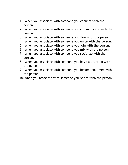- 1. When you associate with someone you connect with the person.
- 2. When you associate with someone you communicate with the person.
- 3. When you associate with someone you flow with the person.
- 4. When you associate with someone you unite with the person.
- 5. When you associate with someone you join with the person.
- 6. When you associate with someone you mix with the person.
- 7. When you associate with someone you socialize with the person.
- 8. When you associate with someone you have a lot to do with the person.
- 9. When you associate with someone you become involved with the person.
- 10.When you associate with someone you relate with the person.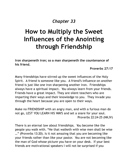# *Chapter 33*

# **How to Multiply the Sweet Influences of the Anointing through Friendship**

**Iron sharpeneth iron; so a man sharpeneth the countenance of his friend.**

**Proverbs 27:17**

Many friendships have stirred up the sweet influences of the Holy Spirit. A friend is someone like you. A friend's influence on another friend is just like one iron sharpening another iron. Friendships always have a spiritual impact. You always learn from your friends. Friends have a great impact. They are silent teachers who are imparting their ways and their knowledge to you. They invade you through the heart because you are open to their ways.

Make no FRIENDSHIP with an angry man, and with a furious man do not go, LEST YOU LEARN HIS WAYS and set a snare for your soul. Proverbs 22:24-25 (NKJV)

There is an eternal law about friendships. You become like the people you walk with. "He that walketh with wise men shall be wise …" (Proverbs 13:20). Is it not amazing that you are becoming like your friends rather than like your pastor. You are not becoming like the man of God whose picture you have on your desk. If your best friends are motivational speakers I will not be surprised if you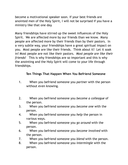become a motivational speaker soon. If your best friends are anointed men of the Holy Spirit, I will not be surprised if you have a ministry like that one day.

Many friendships have stirred up the sweet influences of the Holy Spirit. We are affected more by our friends than we know. Many people are affected more by their friends than by their pastors. In a very subtle way, your friendships have a great spiritual impact on you. Most people are like their friends. Think about it! Let it soak in! Most people are not like their pastors. *Most people are like their friends!* This is why friendships are so important and this is why the anointing and the Holy Spirit will come to your life through friendships.

# **Ten Things That Happen When You Befriend Someone**

- 1. When you befriend someone you *partner* with the person without even knowing.
- 2. When you befriend someone you *become a colleague* of the person.
- 3. When you befriend someone you *become one* with the person.
- 4. When you befriend someone you *help* the person in various ways.
- 5. When you befriend someone you *go around* with the person.
- 6. When you befriend someone you *become involved* with the person.
- 7. When you befriend someone you *blend* with the person.
- 8. When you befriend someone you *intermingle* with the person.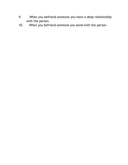- 9. When you befriend someone you *have a deep relationship* with the person.
- 10. When you befriend someone you *bond* with the person.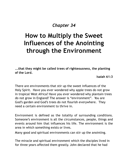# *Chapter 34*

# **How to Multiply the Sweet Influences of the Anointing through the Environment**

**...that they might be called trees of righteousness, the planting of the Lord.**

**Isaiah 61:3**

There are environments that stir up the sweet influences of the Holy Spirit. Have you ever wondered why apple trees do not grow in tropical West Africa? Have you ever wondered why plantain trees do not grow in England? The answer is "environment". You are God's garden and God's trees do not flourish everywhere. They need a certain environment to thrive in.

Environment is defined as the totality of surrounding conditions. Someone's environment is all the circumstances, people, things and events around him that influences his life. The environment is the area in which something exists or lives.

Many good and spiritual environments can stir up the anointing.

The miracle and spiritual environment which the disciples lived in for three years affected them greatly. John declared that he had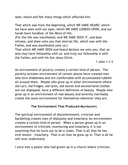seen, heard and felt many things which affected him.

That which was from the beginning, which WE HAVE HEARD, which we have seen with our eyes, which WE HAVE LOOKED UPON, and our hands have handled, of the Word of life;

(For the life was manifested, and WE HAVE SEEN IT, and bear witness, and shew unto you that eternal life, which was with the Father, and was manifested unto us;)

That which WE HAVE SEEN and heard declare we unto you, that ye also may have fellowship with us: and truly our fellowship is with the Father, and with his Son Jesus Christ.

1 John 1:1-3

An environment of poverty creates a certain kind of person. The poverty-stricken environment of certain places have created men who love shabbiness and are comfortable with accumulated rubbish all around them. People who grow up in other environments where old cars, old fridges, old tyres, old stoves and second-hand clothes are not displayed, have a different definition of beauty. People who grow up in an environment of real beauty and serenity inevitably create the same environment for themselves wherever they are.

# **The Environment That Produced Murmurers**

The spiritual environment of discontentment, criticism and backbiting creates men of disloyalty and treachery. An environment creates a certain kind of person. When a person grows up in an environment of criticism, murmuring and treachery, it is not surprising that he turns out to be a Judas. That is all that he has ever known – treachery. That is all that he grew up in. That is all he will ever understand.

I once met a pastor who had grown up in a church where criticism,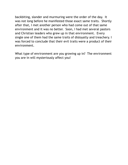backbiting, slander and murmuring were the order of the day. It was not long before he manifested those exact same traits. Shortly after that, I met another person who had come out of that same environment and it was no better. Soon, I had met several pastors and Christian leaders who grew up in that environment. Every single one of them had the same traits of disloyalty and treachery. I was forced to conclude that their evil traits were a product of their environment.

What type of environment are you growing up in? The environment you are in will mysteriously affect you!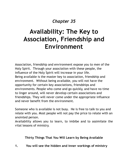# *Chapter 35*

# **Availability: The Key to Association, Friendship and Environment**

Association, friendship and environment expose you to men of the Holy Spirit. Through your association with these people, the influence of the Holy Spirit will increase in your life. Being available is the master key to association, friendship and environment. Without being available, you will not have the opportunity for certain key associations, friendships and environments. People who come and go quickly, and have no time to linger around, will never develop certain associations and friendships. They will never come under the appropriate influence and never benefit from the environment.

Someone who is available is not busy. He is free to talk to you and relate with you. Most people will not pay the price to relate with an anointed person.

Availability allows you to learn, to imbibe and to assimilate the vital lessons of ministry.

**Thirty Things That You Will Learn by Being Available**

**1. You will see the hidden and inner workings of ministry**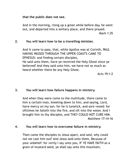#### **that the public does not see.**

And in the morning, rising up a great while before day, he went out, and departed into a solitary place, and there prayed.

Mark 1:35

#### **2. You will learn how to be a travelling minister.**

And it came to pass, that, while Apollos was at Corinth, PAUL HAVING PASSED THROUGH THE UPPER COASTS CAME TO EPHESUS: and finding certain disciples, He said unto them, have ye received the Holy Ghost since ye believed? And they said unto him, we have not so much as heard whether there be any Holy Ghost.

Acts 19:1-2

# **3. You will learn how failure happens in ministry.**

And when they were come to the multitude, there came to him a certain man, kneeling down to him, and saying, Lord, have mercy on my son: for he is lunatick, and sore vexed: for ofttimes he falleth into the fire, and oft into the water. And I brought him to thy disciples, and THEY COULD NOT CURE HIM. Matthew 17:14-16

#### **4. You will learn how to overcome failure in ministry.**

Then came the disciples to Jesus apart, and said, why could not we cast him out? And Jesus said unto them, Because of your unbelief: for verily I say unto you, IF YE HAVE FAITH as a grain of mustard seed, ye shall say unto this mountain,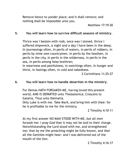Remove hence to yonder place; and it shall remove; and nothing shall be impossible unto you.

Matthew 17:19-20

#### **5. You will learn how to survive difficult seasons of ministry.**

Thrice was I beaten with rods, once was I stoned, thrice I suffered shipwreck, a night and a day I have been in the deep; *In* journeyings often, *in* perils of waters, *in* perils of robbers, *in* perils by *mine own* countrymen, *in* perils by the heathen, *in* perils in the city, *in* perils in the wilderness, *in* perils in the sea, *in* perils among false brethren; In weariness and painfulness, in watchings often, in hunger and thirst, in fastings often, in cold and nakedness.

2 Corinthians 11:25-27

#### **6. You will learn how to handle desertion in the ministry.**

For Demas HATH FORSAKEN ME, having loved this present world, AND IS DEPARTED unto Thessalonica; Crescens to Galatia, Titus unto Dalmatia.

Only Luke is with me. Take Mark, and bring him with thee: for he is profitable to me for the ministry.

2 Timothy 4:10-11

At my first answer NO MAN STOOD WITH ME, but all *men* forsook me: *I pray God* that it may not be laid to their charge. Notwithstanding the Lord stood with me, and strengthened me; that by me the preaching might be fully known, and *that* all the Gentiles might hear: and I was delivered out of the mouth of the lion.

2 Timothy 4:16-17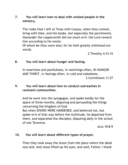# **7. You will learn how to deal with wicked people in the ministry.**

The cloke that I left at Troas with Carpus, when thou comest, bring *with thee*, and the books, *but* especially the parchments. Alexander the coppersmith did me much evil: the Lord reward him according to his works:

Of whom be thou ware also; for he hath greatly withstood our words.

2 Timothy 4:13-15

#### **8. You will learn about hunger and fasting.**

In weariness and painfulness, in watchings often, IN HUNGER AND THIRST, in fastings often, in cold and nakedness.

2 Corinthians 11:27

# **9. You will learn about how to conduct outreaches in resistant communities.**

And he went into the synagogue, and spake boldly for the space of three months, disputing and persuading the things concerning the kingdom of God. But when DIVERS WERE HARDENED, and believed not, but

spake evil of that way before the multitude, he departed from them, and separated the disciples, disputing daily in the school of one Tyrannus.

Acts 19:8-9

#### **10. You will learn about different types of prayer.**

Then they took away the stone *from the place* where the dead was laid. And Jesus lifted up *his* eyes, and said, Father, I thank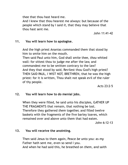thee that thou hast heard me.

And I knew that thou hearest me always: but because of the people which stand by I said *it*, that they may believe that thou hast sent me.

John 11:41-42

#### **11. You will learn how to apologise.**

And the high priest Ananias commanded them that stood by him to smite him on the mouth.

Then said Paul unto him, God shall smite thee, *thou* whited wall: for sittest thou to judge me after the law, and commandest me to be smitten contrary to the law? And they that stood by said, Revilest thou God's high priest? THEN SAID PAUL, I WIST NOT, BRETHREN, that he was the high priest: for it is written, Thou shalt not speak evil of the ruler of thy people.

Acts 23:2-5

#### **12. You will learn how to do menial jobs.**

When they were filled, he said unto his disciples, GATHER UP THE FRAGMENTS that remain, that nothing be lost. Therefore they gathered *them* together, and filled twelve baskets with the fragments of the five barley loaves, which remained over and above unto them that had eaten.

John 6:12-13

#### **13. You will receive the anointing.**

Then said Jesus to them again, Peace *be* unto you: as *my* Father hath sent me, even so send I you. And when he had said this, he breathed on *them*, and saith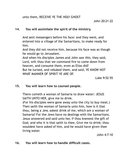unto them, RECEIVE YE THE HOLY GHOST

#### **14. You will assimilate the spirit of the ministry.**

And sent messengers before his face: and they went, and entered into a village of the Samaritans, to make ready for him.

And they did not receive him, because his face was as though he would go to Jerusalem.

And when his disciples James and John saw *this*, they said, Lord, wilt thou that we command fire to come down from heaven, and consume them, even as Elias did? But he turned, and rebuked them, and said, YE KNOW NOT WHAT MANNER OF SPIRIT YE ARE OF.

Luke 9:52-55

#### **15. You will learn how to counsel people.**

There cometh a woman of Samaria to draw water: JESUS SAITH UNTO HER, give me to drink.

(For his disciples were gone away unto the city to buy meat.) Then saith the woman of Samaria unto him, how is it that thou, being a Jew, askest drink of me, which am a woman of Samaria? For the Jews have no dealings with the Samaritans. Jesus answered and said unto her, If thou knewest the gift of God, and who it is that saith to thee, Give me to drink; thou wouldest have asked of him, and he would have given thee living water.

John 4:7-10

#### **16. You will learn how to handle difficult cases.**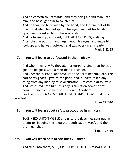And he cometh to Bethsaida; and they bring a blind man unto him, and besought him to touch him.

And he took the blind man by the hand, and led him out of the town; and when he had spit on his eyes, and put his hands upon him, he asked him if he saw ought.

And he looked up, and said, I SEE MEN AS TREES, walking. After that he put *his* hands again upon his eyes, and made him look up: and he was restored, and saw every man clearly.

Mark 8:22-25

# **17. You will learn to be focused in the ministry.**

And when they saw *it*, they all murmured, saying, that he was gone to be guest with a man that is a sinner. And Zacchaeus stood, and said unto the Lord; Behold, Lord, the half of my goods I give to the poor; and if I have taken any thing from any man by false accusation, I restore *him* fourfold. And Jesus said unto him, this day is salvation come to this house, forsomuch as he also is a son of Abraham.

For the SON OF MAN IS COME TO SEEK AND TO SAVE that which was lost.

Luke 19:7-10

# **18. You will learn about safety procedures in ministry.**

TAKE HEED UNTO THYSELF, and unto the doctrine; continue in them: for in doing this thou shalt both save thyself, and them that hear thee.

1 Timothy 4:16

#### **19. You will learn how to see the evil ahead.**

And said unto them, SIRS, I PERCEIVE THAT THIS VOYAGE WILL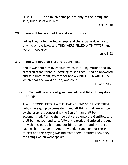BE WITH HURT and much damage, not only of the lading and ship, but also of our lives.

Acts 27:10

#### **20. You will learn about the risks of ministry.**

But as they sailed he fell asleep: and there came down a storm of wind on the lake; and THEY WERE FILLED WITH WATER, and were in jeopardy.

Luke 8:23

# **21. You will develop close relationships.**

And it was told him by certain which said, Thy mother and thy brethren stand without, desiring to see thee. And he answered and said unto them, My mother and MY BRETHREN ARE THESE which hear the word of God, and do it.

Luke 8:20-21

# **22. You will hear about great secrets and listen to mystical things.**

Then HE TOOK UNTO HIM THE TWELVE, AND SAID UNTO THEM, Behold, we go up to Jerusalem, and all things that are written by the prophets concerning the Son of man shall be accomplished. For he shall be delivered unto the Gentiles, and shall be mocked, and spitefully entreated, and spitted on: And they shall scourge him, and put him to death: and the third day he shall rise again. And they understood none of these things: and this saying was hid from them, neither knew they the things which were spoken.

Luke 18:31-34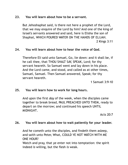#### **23. You will learn about how to be a servant.**

But Jehoshaphat said, is there not here a prophet of the Lord, that we may enquire of the Lord by him? And one of the king of Israel's servants answered and said, here is Elisha the son of Shaphat, WHICH POURED WATER ON THE HANDS OF ELIJAH. 2 Kings 3:11

#### **24. You will learn about how to hear the voice of God.**

Therefore Eli said unto Samuel, Go, lie down: and it shall be, if he call thee, that THOU SHALT SAY, SPEAK, Lord; for thy servant heareth. So Samuel went and lay down in his place. And the Lord came, and stood, and called as at other times, Samuel, Samuel. Then Samuel answered, Speak; for thy servant heareth.

1 Samuel 3:9-10

#### **25. You will learn how to work for long hours.**

And upon the first *day* of the week, when the disciples came together to break bread, PAUL PREACHED UNTO THEM, ready to depart on the morrow; and continued his speech UNTIL MIDNIGHT.

Acts 20:7

#### **26. You will learn about how to wait patiently for your leader.**

And he cometh unto the disciples, and findeth them asleep, and saith unto Peter, What, COULD YE NOT WATCH WITH ME ONE HOUR?

Watch and pray, that ye enter not into temptation: the spirit indeed *is* willing, but the flesh *is* weak.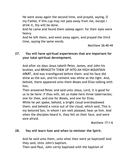He went away again the second time, and prayed, saying, O my Father, if this cup may not pass away from me, except I drink it, thy will be done.

And he came and found them asleep again: for their eyes were heavy.

And he left them, and went away again, and prayed the third time, saying the same words.

Matthew 26:40-44

# **27. You will have spiritual experiences that are important for your total spiritual development.**

And after six days Jesus taketh Peter, James, and John his brother, and BRINGETH THEM UP INTO AN HIGH MOUNTAIN APART, And was transfigured before them: and his face did shine as the sun, and his raiment was white as the light. And, behold, there appeared unto them Moses and Elias talking with him.

Then answered Peter, and said unto Jesus, Lord, it is good for us to be here: if thou wilt, let us make here three tabernacles; one for thee, and one for Moses, and one for Elias.

While he yet spake, behold, a bright cloud overshadowed them: and behold a voice out of the cloud, which said, This is my beloved Son, in whom I am well pleased; hear ye him. And when the disciples heard it, they fell on their face, and were sore afraid.

Matthew 17:1-6

# **28. You will learn how and when to minister the Spirit.**

And he said unto them, unto what then were ye baptized? And they said, Unto John's baptism.

Then said Paul, John verily baptized with the baptism of